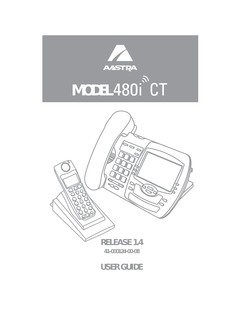

# MODEL 480<sup>1</sup><sup>2</sup>

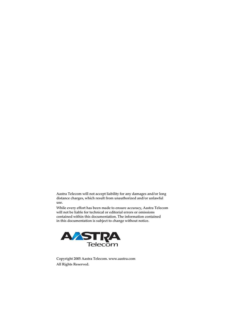Aastra Telecom will not accept liability for any damages and/or long distance charges, which result from unauthorized and/or unlawful use.

While every effort has been made to ensure accuracy, Aastra Telecom will not be liable for technical or editorial errors or omissions contained within this documentation. The information contained in this documentation is subject to change without notice.



Copyright 2005 Aastra Telecom. www.aastra.com All Rights Reserved.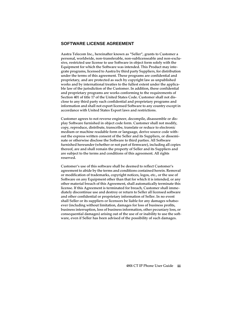#### **SOFTWARE LICENSE AGREEMENT**

Aastra Telecom Inc., hereinafter known as "Seller", grants to Customer a personal, worldwide, non-transferable, non-sublicenseable and non-exclusive, restricted use license to use Software in object form solely with the Equipment for which the Software was intended. This Product may integrate programs, licensed to Aastra by third party Suppliers, for distribution under the terms of this agreement. These programs are confidential and proprietary, and are protected as such by copyright law as unpublished works and by international treaties to the fullest extent under the applicable law of the jurisdiction of the Customer. In addition, these confidential and proprietary programs are works conforming to the requirements of Section 401 of title 17 of the United States Code. Customer shall not disclose to any third party such confidential and proprietary programs and information and shall not export licensed Software to any country except in accordance with United States Export laws and restrictions.

Customer agrees to not reverse engineer, decompile, disassemble or display Software furnished in object code form. Customer shall not modify, copy, reproduce, distribute, transcribe, translate or reduce to electronic medium or machine readable form or language, derive source code without the express written consent of the Seller and its Suppliers, or disseminate or otherwise disclose the Software to third parties. All Software furnished hereunder (whether or not part of firmware), including all copies thereof, are and shall remain the property of Seller and its Suppliers and are subject to the terms and conditions of this agreement. All rights reserved.

Customer's use of this software shall be deemed to reflect Customer's agreement to abide by the terms and conditions contained herein. Removal or modification of trademarks, copyright notices, logos, etc., or the use of Software on any Equipment other than that for which it is intended, or any other material breach of this Agreement, shall automatically terminate this license. If this Agreement is terminated for breach, Customer shall immediately discontinue use and destroy or return to Seller all licensed software and other confidential or proprietary information of Seller. In no event shall Seller or its suppliers or licensors be liable for any damages whatsoever (including without limitation, damages for loss of business profits, business interruption, loss of business information, other pecuniary loss, or consequential damages) arising out of the use of or inability to use the software, even if Seller has been advised of the possibility of such damages.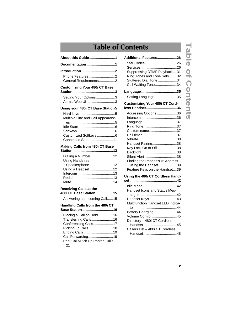# **Table of Contents**

| About this Guide1                                                                                                                     |
|---------------------------------------------------------------------------------------------------------------------------------------|
| Documentation1                                                                                                                        |
| Introduction 2<br>Phone Features 2<br>General Requirements2                                                                           |
| <b>Customizing Your 480i CT Base</b>                                                                                                  |
| Setting Your Options3<br>Aastra Web UI3                                                                                               |
| Using your 480i CT Base Station 5                                                                                                     |
| Multiple Line and Call Appearanc-<br>Customized Softkeys 6<br>Connected State 11                                                      |
| Making Calls from 480i CT Base                                                                                                        |
| Dialing a Number 12<br><b>Using Handsfree</b><br>Speakerphone12<br>Using a Headset12                                                  |
| <b>Receiving Calls at the</b><br>480i CT Base Station 15                                                                              |
| Answering an Incoming Call15                                                                                                          |
| Handling Calls from the 480i CT<br>Base Station 16                                                                                    |
| Placing a Call on Hold16<br>Transferring Calls16<br>Conferencing Calls17<br>Picking up Calls18<br>Ending Calls19<br>Call Forwarding19 |

| Additional Features26                 |
|---------------------------------------|
| Star Codes 26                         |
|                                       |
| Suppressing DTMF Playback31           |
| Ring Tones and Tone Sets32            |
| Stuttered Dial Tone 34                |
| Call Waiting Tone34                   |
|                                       |
| Setting Language 35                   |
| <b>Customizing Your 480i CT Cord-</b> |
| less Handset36                        |
| Accessing Options 36                  |
|                                       |
| Language 37                           |
| Ring Tone37                           |
| Custom name37                         |
|                                       |
| Handset Pairing38                     |
| Key Lock On or Off38                  |
|                                       |
| Silent Alert38                        |
| Finding the Phones's IP Address       |
| using the Handset 39                  |
| Feature Keys on the Handset39         |
| Using the 480i CT Cordless Hand-      |
|                                       |
| Idle Mode 42                          |
| Handset Icons and Status Mes-         |
|                                       |
| Handset Keys43                        |
| Multifunction Handset LED Indica-     |
| Battery Charging 44                   |
| Volume Control 45                     |
| Directory - 480i CT Cordless          |
| Handset45                             |
| Callers List - 480i CT Cordless       |
|                                       |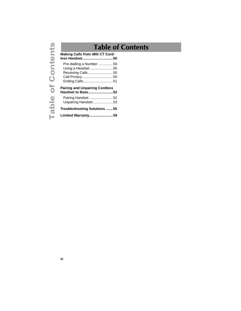# **Table of Contents**

| Making Calls from 480i CT Cord-<br>less Handset50                                                         |  |
|-----------------------------------------------------------------------------------------------------------|--|
| Pre-dialling a Number 50<br>Using a Headset 50<br>Receiving Calls 50<br>Call Privacy 50<br>Ending Calls51 |  |
| <b>Pairing and Unpairing Cordless</b>                                                                     |  |
| Handset to Base52                                                                                         |  |
| Pairing Handset 52<br>Unpairing Handset 53                                                                |  |
| Troubleshooting Solutions 55                                                                              |  |
| Limited Warranty59                                                                                        |  |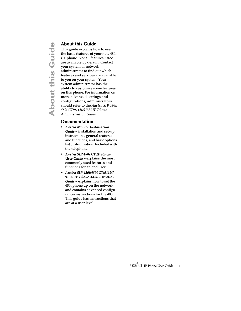<span id="page-6-3"></span><span id="page-6-0"></span>**About this Guide**<br>
This guide explains hot<br>
the basic features of y<br>
CT phone. Not all feat<br>
are available by defau<br>
your system or netword<br>
administrator to find a<br>
features and services a<br>
to you on your system<br>
system This guide explains how to use the basic features of your new 480i CT phone. Not all features listed are available by default. Contact your system or network administrator to find out which features and services are available to you on your system. Your system administrator has the ability to customize some features on this phone. For information on more advanced settings and configurations, administrators should refer to the *Aastra SIP 480i/ 480i CT/9112i/9133i IP Phone Administration Guide*.

#### <span id="page-6-2"></span><span id="page-6-1"></span>**Documentation**

- *Aastra 480i CT Installation Guide* – installation and set-up instructions, general features and functions, and basic options list customization. Included with the telephone.
- *Aastra SIP 480i CT IP Phone User Guide* – explains the most commonly used features and functions for an end user.
- *Aastra SIP 480i/480i CT/9112i/ 9133i IP Phone Administration Guide* – explains how to set the 480i phone up on the network and contains advanced configuration instructions for the 480i. This guide has instructions that are at a user level.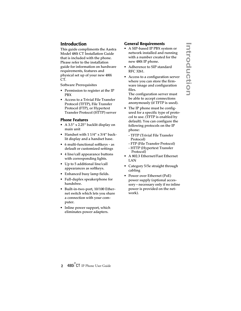## <span id="page-7-0"></span>**Introduction**

This guide compliments the Aastra Model 480i CT Installation Guide that is included with the phone. Please refer to the installation guide for information on hardware requirements, features and physical set up of your new 480i CT.

Software Prerequisites

- Permission to register at the IP PBX
- Access to a Trivial File Transfer Protocol (TFTP), File Transfer Protocol (FTP), or Hypertext Transfer Protocol (HTTP) server

#### <span id="page-7-3"></span><span id="page-7-1"></span>**Phone Features**

- A 3.5" x 2.25" backlit display on main unit
- Handset with 1 1/4" x 3/4" backlit display and a handset base.
- 6 multi-functional softkeys as default or customized settings
- 4 line/call appearance buttons with corresponding lights.
- Up to 5 additional line/call appearances as softkeys.
- Enhanced busy lamp fields.
- Full-duplex speakerphone for handsfree.
- Built-in-two-port, 10/100 Ethernet switch which lets you share a connection with your computer.
- Inline power support, which eliminates power adapters.

#### <span id="page-7-2"></span>**General Requirements**

- A SIP-based IP PBX system or network installed and running with a number created for the new 480i IP phone.
- Adherence to SIP standard RFC 3261.
- Access to a configuration server where you can store the firmware image and configuration files.

The configuration server must be able to accept connections anonymously (if TFTP is used).

- The IP phone must be configured for a specific type of protocol to use. (TFTP is enabled by default). You can configure the following protocols on the IP phone:
	- TFTP (Trivial File Transfer Protocol)
	- FTP (File Transfer Protocol)
	- HTTP (Hypertext Transfer Protocol)
- A 802.3 Ethernet/Fast Ethernet LAN
- Category 5/5e straight through cabling
- Power over Ethernet (PoE) power supply (optional accessory – necessary only if no inline power is provided on the network).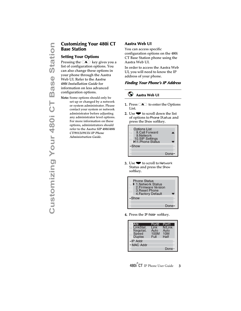# <span id="page-8-4"></span><span id="page-8-0"></span>**Base Station**

#### <span id="page-8-1"></span>**Setting Your Options**

Pressing the  $\blacksquare$  key gives you a list of configuration options. You can also change these options in your phone through the Aastra Web UI. Refer to the *Aastra 480i Installation Guide* for information on less advanced configuration options.

**Customizing Your 480i CT**<br> **Base Station**<br>
Setting Your Options<br>
Pressing the  $\infty$  key gives you a<br>
list of configuration options. You<br>
your phone through the Aastra<br>
Web UI. Refer to the *Aastra*<br>
480*i* Installation Gu Note: Some options should only be set up or changed by a network or system administrator. Please contact your system or network administrator before adjusting any administrator level options. For more information on these options, administrators should refer to the *Aastra SIP 480i/480i CT/9112i/9133i IP Phone Administration Guide*.

#### <span id="page-8-8"></span><span id="page-8-2"></span>**Aastra Web UI**

<span id="page-8-7"></span>You can access specific configuration options on the 480i CT Base Station phone using the Aastra Web UI.

In order to access the Aastra Web UI, you will need to know the IP address of your phone.

#### <span id="page-8-3"></span>**Finding Your Phone's IP Address**

#### <span id="page-8-5"></span>⊙ **Aastra Web UI**

- <span id="page-8-6"></span>**1.** Press  $\blacksquare$  to enter the Options List.
- 2. Use  $\blacktriangleright$  to scroll down the list of options to Phone Status and press the Show softkey.



3. Use  $\blacktriangledown$  to scroll to Network Status and press the Show softkey.



4. Press the IP Addr softkey.

| LAttr.          | Port0 | Port1  |
|-----------------|-------|--------|
|                 |       |        |
| LinkStat.       | Link  | N/Link |
| Negotiat.       | Auto  | Auto   |
|                 | 100M  | 10M    |
| Speed<br>Duplex | Full  | Half   |
| -IP Addr        |       |        |
| - MAC Addr      |       |        |
|                 |       | Done-  |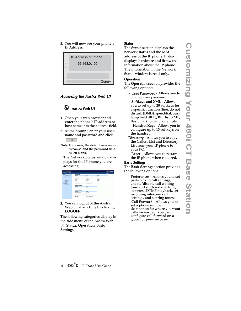5. You will now see your phone's IP Address.



#### <span id="page-9-1"></span><span id="page-9-0"></span>**Accessing the Aastra Web UI**

#### $\odot$ **Aastra Web UI**

- 1. Open your web browser and enter the phone's IP address or host name into the address field.
- 2. At the prompt, enter your username and password and click  $0K$   $\cdot$
- Note: For a user, the default user name is "user" and the password field is left blank.

The Network Status window displays for the IP phone you are accessing.



3. You can logout of the Aastra Web UI at any time by clicking LOGOFF.

The following categories display in the side menu of the Aastra Web UI: Status, Operation, Basic Settings.

#### <span id="page-9-4"></span>**Status**

The Status section displays the network status and the MAC address of the IP phone. It also displays hardware and firmware information about the IP phone. The information in the Network Status window is read-only.

#### <span id="page-9-3"></span>**Operation**

The Operation section provides the following options:

- User Password Allows you to change user password
- Softkeys and XML Allows you to set up to 20 softkeys for a specific function (line, do not disturb (DND), speeddial, busy lamp field (BLF), BLF list, XML, flash, park, pickup, or empty.
- - Handset Keys Allows you to configure up to 15 softkeys on the handset.
- **Directory** Allows you to copy the Callers List and Directory List from your IP phone to your PC.
- <span id="page-9-2"></span>- **Reset** - Allows you to restart the IP phone when required.

#### **Basic Settings**

The Basic Settings section provides the following options:

- Preferences Allows you to set park/pickup call settings, enable/disable call waiting tone and stuttered dial tone, suppress DTMF playback, set incoming intercom call settings, and set ring tones.
- **Call Forward** Allows you to set a phone number destination for where you want calls forwarded. You can configure call forward on a global or per-line basis.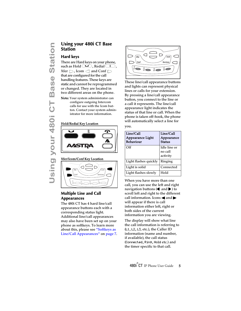# <span id="page-10-0"></span>**Station**

#### <span id="page-10-1"></span>**Hard keys**

**Using your 480i CT Base**<br> **Station**<br> **Using Station**<br> **Using Station**<br> **Interaction Candbers**<br> **Using The Station Candbers**<br> **Using the Station Candbers**<br> **Using the Station Candbers**<br> **Using the Station Candbers**<br> **Using** There are Hard keys on your phone, such as Hold  $\Box$ , Redial  $\Box$ . Xfer  $\bigcirc$  , Icom  $\bigcirc$  and Conf  $\bigcirc$ that are configured for the call handling features. These keys are static and cannot be reprogrammed or changed. They are located in two different areas on the phone.

Note: Your system administrator can configure outgoing Intercom calls for use with the Icom button. Contact your system administrator for more information.

#### Hold/Redial Key Location



#### Xfer/Icom/Conf Key Location



#### <span id="page-10-2"></span>**Multiple Line and Call Appearances**

<span id="page-10-3"></span>The 480i CT has 4 hard line/call appearance buttons each with a corresponding status light. Additional line/call appearances may also have been set up on your phone as softkeys. To learn more about this, please see ["Softkeys as](#page-12-0)  [Line/Call Appearances"](#page-12-0) on [page 7](#page-12-0).



These line/call appearance buttons and lights can represent physical lines or calls for your extension. By pressing a line/call appearance button, you connect to the line or a call it represents. The line/call appearance light indicates the status of that line or call. When the phone is taken off-hook, the phone will automatically select a line for you.

| Line/Call<br><b>Appearance Light</b><br><b>Behaviour</b> | Line/Call<br>Appearance<br><b>Status</b> |
|----------------------------------------------------------|------------------------------------------|
| Off                                                      | Idle line or<br>no call<br>activity      |
| Light flashes quickly                                    | Ringing                                  |
| Light is solid                                           | Connected                                |
| Light flashes slowly                                     | Hold                                     |

When you have more than one call, you can use the left and right navigation buttons ( $\Box$  and  $\blacktriangleright$ ) to scroll left and right to the different call information. Icons  $\blacktriangleleft$  and  $\blacktriangleright$ will appear if there is call information either left, right or both sides of the current information you are viewing.

The display will show what line the call information is referring to (L1, L2, L3, etc.), the Caller ID information (name and number, if available), the call status (Connected, Ring, Hold etc.) and the timer specific to that call.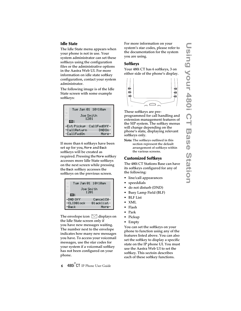#### <span id="page-11-0"></span>**Idle State**

<span id="page-11-4"></span>The Idle State menu appears when your phone is not in use. Your system administrator can set these softkeys using the configuration files or the administrative options in the Aastra Web UI. For more information on idle state softkey configuration, contact your system administrator.

The following image is of the Idle State screen with some example softkeys:



If more than 6 softkeys have been set up for you, More and Back softkeys will be created as required. Pressing the More softkey accesses more Idle State softkeys on the next screen while pressing the Back softkey accesses the softkeys on the previous screen.



The envelope icon  $\boxtimes$  displays on the Idle State screen only if you have new messages waiting. The number next to the envelope indicates how many new messages you have. To access your voicemail messages, use the star codes for your system if a voicemail softkey has not been configured on your phone.

For more information on your system's star codes, please refer to the documentation for the system you are using.

#### <span id="page-11-1"></span>**Softkeys**

Your 480i CT has 6 softkeys, 3 on either side of the phone's display.



These softkeys are preprogrammed for call handling and extension management features of the SIP system. The softkey menus will change depending on the phone's state, displaying relevant softkeys only.

Note: The softkeys outlined in this section represent the default arrangement of softkeys within the various screens.

#### <span id="page-11-3"></span><span id="page-11-2"></span>**Customized Softkeys**

The 480i CT Stations Base can have its softkeys configured for any of the following:

- line/call appearances
- speeddials
- do not disturb (DND)
- Busy Lamp Field (BLF)
- BLF List
- XML
- Flash
- Park
- Pickup
- Empty

You can set the softkeys on your phone to function using any of the features listed above. You can also set the softkey to display a specific state on the IP phone UI. You must use the Aastra Web UI to set the softkey. This sectoin describes each of these softkey functions.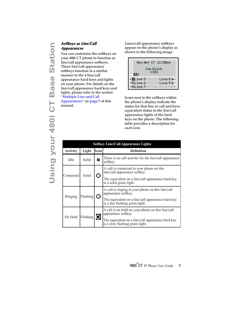# <span id="page-12-1"></span><span id="page-12-0"></span>**Appearances**

**Softkeys as Line/Call**<br> **Appearances**<br>
You can customize the<br>
your 480i CT phone to<br>
line/call appearance scribes ine/call appearance softkeys function in a s<br>
manner to the 4 line/cc<br>
appearance hard keys<br>
on your phone. You can customize the softkeys on your 480i CT phone to function as line/call appearance softkeys. These line/call appearance softkeys function in a similar manner to the 4 line/call appearance hard keys and lights on your phone. For details on the line/call appearance hard keys and lights, please refer to the section ["Multiple Line and Call](#page-10-2)  [Appearances"](#page-10-2) on [page 5](#page-10-2) of this manual.

Lines/call appearance softkeys appear on the phone's display as shown in the following image.

|                   | Mon Aer 17, 11:30em |
|-------------------|---------------------|
|                   | Joe Smith<br>1101   |
| П1                |                     |
| − <b>B</b> Line 5 | Line 8 ¤-           |
| -OLine 6          | Line 9 ¤-           |
| line 7            |                     |

Icons next to the softkeys within the phone's display indicate the status for that line or call and have equivalent status to the line/call appearance lights of the hard keys on the phone. The following table provides a description for each icon.

| <b>Softkey Line/Call Appearance Lights</b> |          |                                                                              |                                                                                      |                                                                          |
|--------------------------------------------|----------|------------------------------------------------------------------------------|--------------------------------------------------------------------------------------|--------------------------------------------------------------------------|
| <b>Activity</b>                            | Light    | Icon                                                                         | <b>Definition</b>                                                                    |                                                                          |
| Idle                                       | Solid    | o                                                                            | There is no call activity for the line/call appearance<br>softkey.                   |                                                                          |
| Solid<br>Connected                         | I I      | A call is connected to your phone on this<br>line/call appearance softkey.   |                                                                                      |                                                                          |
|                                            |          | The equivalent on a line/call appearance hard key<br>is a solid green light. |                                                                                      |                                                                          |
| Flashing<br>Ringing                        |          | О                                                                            | A call is ringing at your phone on this line/call<br>appearance softkey.             |                                                                          |
|                                            |          |                                                                              | The equivalent on a line/call appearance hard key<br>is a fast flashing green light. |                                                                          |
| On Hold                                    | Flashing |                                                                              |                                                                                      | A call is on hold on your phone on this line/call<br>appearance softkey. |
|                                            |          | Д                                                                            | The equivalent on a line/call appearance hard key<br>is a slow flashing green light. |                                                                          |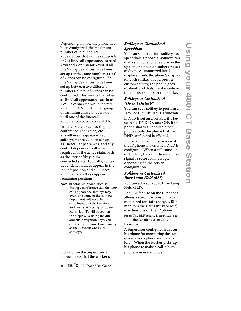Depending on how the phone has been configured, the maximum number of total line/call appearances that can be set up is 8 or 9 (4 line/call appearance as hard keys and 4 or 5 as softkeys). If all line/call appearances have been set up for the same number, a total of 9 lines can be configured. If all line/call appearances have been set up between two different numbers, a total of 8 lines can be configured. This means that when all line/call appearances are in use, 1 call is connected while the rest are on hold. No further outgoing or incoming calls can be made until one of the line/call appearances becomes available. In active states, such as ringing, conference, connected, etc., all softkeys disappear except softkeys that have been set up as line/call appearances, and any context dependent softkeys required for the active state, such as the Drop softkey in the connected state. Typically, context dependent softkeys appear in the top left position and all line/call appearance softkeys appear in the remaining positions.

Note: In some situations, such as during a conference call, the line/ call appearance softkeys may overwrite some of the context dependent soft keys. In this case, instead of the Previous and Next softkeys, up or down icons,  $\blacktriangle$  or  $\nabla$ , will appear on the display. By using the  $\triangle$ and  $\blacktriangledown$  navigation keys, you can access the same functionality as the Previous and Next softkeys.

#### indicator on the Supervisor's phone shows that the worker's

#### <span id="page-13-2"></span>**Softkeys as Customized Speeddials**

You can set up custom softkeys as speeddials. Speeddial softkeys can dial a star code for a feature on the system or a phone number or a set of digits. A customized label displays inside the phone's display for each softkey. If you press a custom softkey, the phone goes off-hook and dials the star code or the number set up for this softkey.

#### <span id="page-13-0"></span>**Softkeys as Customized "Do not Disturb"**

You can set a softkey to perform a "Do not Disturb" (DND) function.

If DND is set on a softkey, the key switches DND ON and OFF. If the phone shares a line with other phones, only the phone that has DND configured is affected.

The second line on the screen of the IP phone shows when DND is configured. When a call comes in on the line, the caller hears a busy signal or recorded message, depending on the server configuration.

#### <span id="page-13-1"></span>**Softkeys as Customized Busy Lamp Field (BLF)**

You can set a softkey to Busy Lamp Field (BLF).

The BLF feature on the IP phones allows a specific extension to be monitored for state changes. BLF monitors the status (busy or idle) of extensions on the IP phone.

Note: The BLF setting is applicable to the Asterisk server only.

#### Example

A Supervisor configures BLFs on his phone for monitoring the status of a worker's phone use (busy or idle). When the worker picks up his phone to make a call, a busy

phone is in use and busy.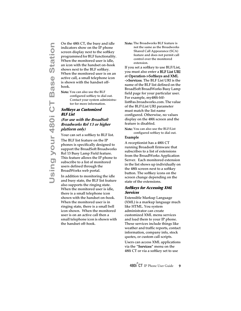On the 480i CT, the busy and idle<br>indicators show on the IP phone<br>screen display next to the softkey<br>programmed for BLF functionality<br>When the monitored user is idle,<br>an icon with the handset on-hook<br>shows next to the BLF indicators show on the IP phone screen display next to the softkey programmed for BLF functionality. When the monitored user is idle, an icon with the handset on-hook shows next to the BLF softkey. When the monitored user is on an active call, a small telephone icon is shown with the handset offhook.

Note: You can also use the BLF configured softkey to dial out. Contact your system administrator for more information.

#### <span id="page-14-1"></span>**Softkeys as Customized BLF List**

#### **(For use with the BroadSoft Broadworks Rel 13 or higher platform only)**

Your can set a softkey to BLF list.

The BLF list feature on the IP phones is specifically designed to support the BroadSoft Broadworks Rel 13 Busy Lamp Field feature. This feature allows the IP phone to subscribe to a list of monitored users defined through the BroadWorks web portal.

In addition to monitoring the idle and busy state, the BLF list feature also supports the ringing state. When the monitored user is idle, there is a small telephone icon shown with the handset on-hook. When the monitored user is in ringing state, there is a small bell icon shown. When the monitored user is on an active call then a small telephone icon is shown with the handset off-hook.

Note: The Broadworks BLF feature is not the same as the Broadworks Shared Call Appearance (SCA) feature and does not permit call control over the monitored extension.

If you set a softkey to use BLF/List, you must also enter a BLF List URI at Operation->Softkeys and XML ->Services. The BLF List URI is the name of the BLF list defined on the BroadSoft BroadWorks Busy Lamp field page for your particular user. For example, my480i-blflist@as.broadworks.com. The value of the BLF\List URI parameter must match the list name configured. Otherwise, no values display on the 480i screen and the feature is disabled.

Note: You can also use the BLF/List configured softkey to dial out.

#### Example

A receptionist has a 480i CT running Broadsoft firmware that subscribes to a list of extensions from the BroadWorks Application Server. Each monitored extension in the list shows up individually on the 480i screen next to a softkey button. The softkey icons on the screen change depending on the state of the extensions.

#### <span id="page-14-0"></span>**Softkeys for Accessing XML Services**

Extensible Markup Language (XML) is a markup language much like HTML. You system administrator can create customized XML menu services and load them to your IP phone. These services include things like weather and traffic reports, contact information, company info, stock quotes, or custom call scripts.

Users can access XML applications via the "Services" menu on the 480i CT or via a softkey set to use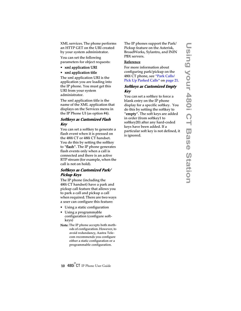XML services. The phone performs an HTTP GET on the URI created by your system administrator.

You can set the following parameters for object requests:

- xml application URI
- xml application title

The xml application URI is the application you are loading into the IP phone. You must get this URI from your system administrator.

The xml application title is the name of the XML application that displays on the Services menu in the IP Phone UI (as option #4).

#### **Softkeys as Customized Flash Key**

You can set a softkey to generate a flash event when it is pressed on the 480i CT or 480i CT handset. You do this by setting the softkey to "flash". The IP phone generates flash events only when a call is connected and there is an active RTP stream (for example, when the call is not on hold).

#### **Softkeys as Customized Park/ Pickup Keys**

The IP phone (including the 480i CT handset) have a park and pickup call feature that allows you to park a call and pickup a call when required. There are two ways a user can configure this feature:

- Using a static configuration
- Using a programmable configuration (configure softkeys)
- Note: The IP phone accepts both methods of configuration. However, to avoid redundancy, Aastra Telecom recommends you configure either a static configuration or a programmable configuration.

The IP phones support the Park/ Pickup feature on the Asterisk, BroadWorks, Sylantro, and ININ PBX servers.

#### Reference

For more information about configuring park/pickup on the 480i CT phone, see ["Park Calls/](#page-26-0) [Pick Up Parked Calls"](#page-26-0) on [page 21](#page-26-0).

#### **Softkeys as Customized Empty Key**

You can set a softkey to force a blank entry on the IP phone display for a specific softkey. You do this by setting the softkey to "empty". The soft keys are added in order (from softkey1 to softkey20) after any hard-coded keys have been added. If a particular soft key is not defined, it is ignored.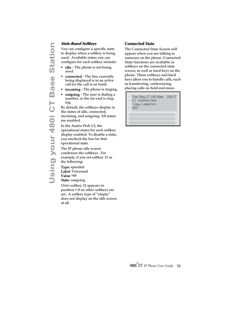You can configure a specific state to display when a softkey is being used. Available states you can configure for each softkey include:

- idle The phone is not being used.
- connected The line currently being displayed is in an active call (or the call is on hold)
- **incoming** The phone is ringing.
- outgoing The user is dialing a number, or the far-end is ringing.

By default, the softkeys display in the states of idle, connected, incoming, and outgoing. All states are enabled.

In the Aastra Web UI, the operational states for each softkey display enabled. To disable a state, you uncheck the box for that operational state.

The IP phone idle screen condenses the softkeys. For example, if you set softkey 12 as the following:

Type: speedial Label: Voicemail Value \*89 State: outgoing

then softkey 12 appears in position 1 if no other softkeys are set. A softkey type of "empty" does not display on the idle screen at all.

#### <span id="page-16-1"></span><span id="page-16-0"></span>**Connected State**

The Connected State Screen will appear when you are talking to someone on the phone. Connected State functions are available as softkeys on the connected state screen, as well as hard keys on the phone. These softkeys and hard keys allow you to handle calls, such as transferring, conferencing, placing calls on hold and more.

Tue May 17 10:10am 10:17 ■ 202 L1 Connected >Jay Lampton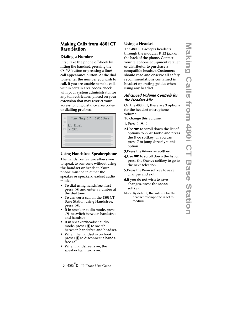#### <span id="page-17-0"></span>**Making Calls from 480i CT Base Station**

#### <span id="page-17-1"></span>**Dialing a Number**

First, take the phone off-hook by lifting the handset, pressing the  $\bigcirc$  button or pressing a line/ call appearance button. At the dial tone enter the number you wish to call. If you are unable to make calls within certain area codes, check with your system administrator for any toll restrictions placed on your extension that may restrict your access to long distance area codes or dialling prefixes.

Tue May 17 10:19am  $\ge 201$ L1 Dial

#### <span id="page-17-2"></span>**Using Handsfree Speakerphone**

The handsfree feature allows you to speak to someone without using the handset or headset. Your phone must be in either the speaker or speaker/headset audio mode.

- To dial using handsfree, first  $press \t{a}$  and enter a number at the dial tone.
- To answer a call on the 480i CT Base Station using Handsfree,  $press \mathbf{\mathcal{A}}$ .
- If in speaker audio mode, press  $\bigcirc$  to switch between handsfree and handset.
- If in speaker/headset audio mode, press  $\bigcirc$  to switch between handsfree and headset.
- When the handset is on hook,  $press \t{d}$  to disconnect a handsfree call.
- When handsfree is on, the speaker light turns on.

#### <span id="page-17-3"></span>**Using a Headset**

The 480i CT accepts headsets through the modular RJ22 jack on the back of the phone. Contact your telephone equipment retailer or distributor to purchase a compatible headset. Customers should read and observe all safety recommendations contained in headset operating guides when using any headset.

#### **Advanced Volume Controls for the Headset Mic**

On the 480i CT, there are 3 options for the headset microphone volume.

To change this volume:

- **1.** Press  $\mathbf{\Omega}$ .
- 2.Use  $\blacktriangleright$  to scroll down the list of options to 7.Set Audio and press the Show softkey, or you can press 7 to jump directly to this option.
- 3.Press the Advanced softkey.
- **4.**Use  $\blacktriangleright$  to scroll down the list or press the Change softkey to go to the next selection.
- 5.Press the Done softkey to save changes and exit.
- 6.If you do not wish to save changes, press the Cancel softkey.
- Note: By default, the volume for the headset microphone is set to medium.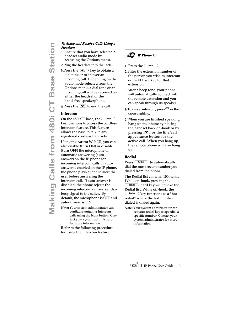# **Headset:**

- 1. Ensure that you have selected a headset audio mode by accessing the Options menu.
- 2.Plug the headset into the jack.
- **3.**Press the  $\bigcirc$  /  $\bigcirc$  key to obtain a dial tone or to answer an incoming call. Depending on the audio mode selected from the Options menu, a dial tone or an incoming call will be received on either the headset or the handsfree speakerphone.
- 4. Press the  $\blacksquare$  to end the call.

#### <span id="page-18-2"></span><span id="page-18-0"></span>**Intercom**

**Make and Receive Calls Using a**<br> **Meadeet**<br> **1. Ensure that you have selected a**<br>
headset audio mode by<br>
accessing the Options menu.<br> **2.** Plug the headset into the jack.<br> **3.** Trees the  $\frac{1}{2}$  key to obtain a<br>
dial to On the 480i CT base, the  $\textcolor{blue} \textcolor{blue}{\textcolor{blue} \textbf{Com}}$ key functions to access the cordless intercom feature. This feature allows the base to talk to any registered cordless handsets. Using the Aastra Web UI, you can also enable (turn ON) or disable (turn OFF) the microphone or automatic answering (autoanswer) on the IP phone for incoming intercom calls. If autoanswer is enabled on the IP phone, the phone plays a tone to alert the user before answering the intercom call. If auto-answer is disabled, the phone rejects the incoming intercom call and sends a busy signal to the caller. By default, the microphone is OFF and auto-answer is ON.

Note: Your system administrator can configure outgoing Intercom calls using the Icom button. Contact your system administrator for more information.

Refer to the following procedure for using the Intercom feature.

#### ÆJ **IP Phone UI**

**1.** Press the  $\overline{\phantom{a}}$  lcom

- 2.Enter the extension number of the person you wish to intercom or the BLF softkey for that extension.
- 3.After a beep tone, your phone will automatically connect with the remote extension and you can speak through its speaker.
- **4.** To cancel intercom, press  $\mathbb{Z}$  or the Cancel softkey.
- 5.When you are finished speaking, hang up the phone by placing the handset back on-hook or by pressing  $\bullet$  or the line/call appearance button for the active call. When you hang up, the remote phone will also hang up.

#### <span id="page-18-1"></span>**Redial**

Press *Redial* to automatically dial the most recent number you dialed from the phone.

The Redial list contains 100 items. While on-hook, pressing the  $\frac{Relation}{Total}$  hard key will invoke the Redial list. While off-hook, the  $\frac{Real}{||}$  key functions as a "hot redial" where the last number dialed is dialed again.

Note: Your system administrator can set your redial key to speedial a specific number. Contact your system administrator for more information.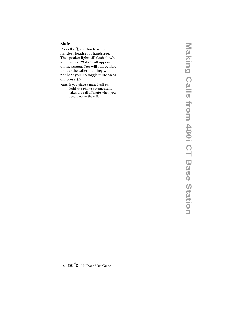#### <span id="page-19-0"></span>**Mute**

Press the  $\bigcirc$  button to mute handset, headset or handsfree. The speaker light will flash slowly and the text "Mute" will appear on the screen. You will still be able to hear the caller, but they will not hear you. To toggle mute on or off, press  $\mathbb{D}$ .

Note: If you place a muted call on hold, the phone automatically takes the call off mute when you reconnect to the call.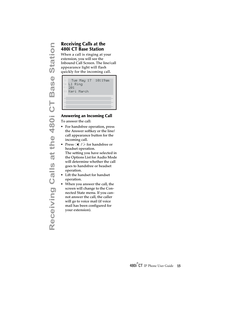# <span id="page-20-0"></span>**480i CT Base Station**

When a call is ringing at your extension, you will see the Inbound Call Screen. The line/call appearance light will flash quickly for the incoming call.



#### <span id="page-20-1"></span>**Answering an Incoming Call**

To answer the call:

- For handsfree operation, press the Answer softkey or the line/ call appearance button for the incoming call.
- Press  $\bigoplus$  / $\bigoplus$  for handsfree or headset operation. The setting you have selected in the Options List for Audio Mode will determine whether the call goes to handsfree or headset operation.
- Lift the handset for handset operation.
- When you answer the call, the screen will change to the Connected State menu. If you cannot answer the call, the caller will go to voice mail (if voice mail has been configured for your extension).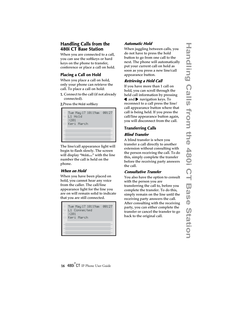#### <span id="page-21-0"></span>**Handling Calls from the 480i CT Base Station**

When you are connected to a call, you can use the softkeys or hard keys on the phone to transfer, conference or place a call on hold.

## <span id="page-21-1"></span>**Placing a Call on Hold**

When you place a call on hold, only your phone can retrieve the call. To place a call on hold:

1. Connect to the call (if not already connected).

2.Press the Hold softkey



The line/call appearance light will begin to flash slowly. The screen will display "Hold..." with the line number the call is held on the phone.

#### **When on Hold**

When you have been placed on hold, you cannot hear any voice from the caller. The call/line appearance light for the line you are on will remain solid to indicate that you are still connected.



## **Automatic Hold**

When juggling between calls, you do not have to press the hold button to go from one call to the next. The phone will automatically put your current call on hold as soon as you press a new line/call appearance button.

#### **Retrieving a Held Call**

If you have more than 1 call on hold, you can scroll through the held call information by pressing  $\triangleleft$  and  $\triangleright$  navigation keys. To reconnect to a call press the line/ call appearance button where that call is being held. If you press the call/line appearance button again, you will disconnect from the call.

## <span id="page-21-2"></span>**Transferring Calls Blind Transfer**

A blind transfer is when you transfer a call directly to another extension without consulting with the person receiving the call. To do this, simply complete the transfer before the receiving party answers the call.

#### **Consultative Transfer**

You also have the option to consult with the person you are transferring the call to, before you complete the transfer. To do this, simply remain on the line until the receiving party answers the call. After consulting with the receiving party, you can either complete the transfer or cancel the transfer to go back to the original call.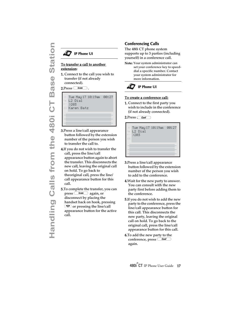#### **IP Phone UI**

# extension:

1. Connect to the call you wish to transfer (if not already connected).

 $2.Press$   $\qquad$   $lcom$ 

```
Tue May 17 10:19am 00:27
Karen Batz
\subseteq L2 Dial
   >203
```
- 3.Press a line/call appearance button followed by the extension number of the person you wish to transfer the call to.
- **Handling Calls from the 480**<br> **Handling Calls from the 480**<br> **Handler** (if not already<br> **CO**<br> **CO**<br> **CO**<br> **CO**<br> **CO**<br> **CO**<br> **CO**<br> **CO**<br> **CO**<br> **CO**<br> **CO**<br> **CO**<br> **CO**<br> **CO**<br> **CO**<br> **CO**<br> **CO**<br> **CO**<br> **CO**<br> **CO**<br> **CO**<br> **CO**<br> 4.If you do not wish to transfer the call, press the line/call appearance button again to abort the transfer. This disconnects the new call, leaving the original call on hold. To go back to theoriginal call, press the line/ call appearance button for this call.
	- 5.To complete the transfer, you can  $pres \overline{com}$  again, or disconnect by placing the handset back on hook, pressing  $\boxed{\textcolor{red}{\bullet}}$  or pressing the line/call appearance button for the active call.

#### <span id="page-22-0"></span>**Conferencing Calls**

The 480i CT phone system supports up to 3 parties (including yourself) in a conference call.

Note: Your system administrator can set your conference key to speeddial a specific number. Contact your system administrator for more information.



#### To create a conference call:

1. Connect to the first party you wish to include in the conference (if not already connected).

 $2.Press$  Conf



- 3.Press a line/call appearance button followed by the extension number of the person you wish to add to the conference.
- 4.Wait for the new party to answer. You can consult with the new party first before adding them to the conference.
- 5.If you do not wish to add the new party to the conference, press the line/call appearance button for this call. This disconnects the new party, leaving the original call on hold. To go back to the original call, press the line/call appearance button for this call.
- 6.To add the new party to the conference, press <u>Conf</u> again.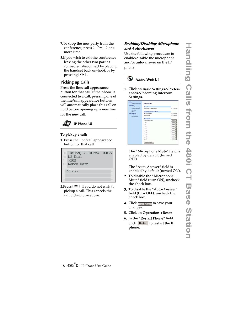- 7.To drop the new party from the conference, press *Conf* one more time.
- 8.If you wish to exit the conference leaving the other two parties connected, disconnect by placing the handset back on-hook or by pressing  $\blacksquare$ .

#### <span id="page-23-0"></span>**Picking up Calls**

Press the line/call appearance button for that call. If the phone is connected to a call, pressing one of the line/call appearance buttons will automatically place this call on hold before opening up a new line for the new call.



#### To pickup a call:

1. Press the line/call appearance button for that call.

| # Tue May 17 10:19am 00:27 |  |
|----------------------------|--|
| $\subseteq$ L2 Dial        |  |
| $-$ >203                   |  |
| <b>El Karen Batz</b>       |  |
| -Pickup                    |  |
|                            |  |
|                            |  |

**2.**Press  $\bigcirc$  if you do not wish to pickup a call. This cancels the call pickup procedure.

#### **Enabling/Disabling Microphone and Auto-Answer**

Use the following procedure to enable/disable the microphone and/or auto-answer on the IP phone.



1. Click on Basic Settings->Preferences->Incoming Intercom Settings.

| <b>Statist</b><br>System Information | <b>Preferences</b>                       |                     |
|--------------------------------------|------------------------------------------|---------------------|
| <b>Operation</b>                     |                                          |                     |
| User Password                        | Genever of                               |                     |
| Softwys and XML<br>Dewctory          | <b>Suppress DTMF Playback</b>            | Enabled             |
| Retail                               | <b>Incoming listercorn Settings</b>      |                     |
| <b>Basic Settings</b>                | Microphone Muhi                          | <b>IV</b> Enabled   |
| <b>Proferences</b><br>Call Ferward   | Auto-Anower                              | <b>V</b> Enabled    |
|                                      | <b>Hang Tomes</b>                        |                     |
|                                      | Global Ring Tone                         | Tone 1              |
|                                      | Line 1                                   | Olobal 35           |
|                                      | Line 2                                   | Global *            |
|                                      | Line 3                                   | Olobal 36           |
|                                      | Link 4                                   | Olobal 35           |
|                                      | Line 5                                   | Otteal (M)          |
|                                      | Link B                                   | Otobal <sup>w</sup> |
|                                      | Line 7                                   | Global <sup>w</sup> |
|                                      | Line B                                   | Olobal 30           |
|                                      | Line 9                                   | Olobal (R)          |
|                                      | the same of the state of the same of the |                     |

The "Microphone Mute" field is enabled by default (turned OFF).

The "Auto-Answer" field is enabled by default (turned ON).

- 2. To disable the "Microphone Mute" field (turn ON), uncheck the check box.
- 3. To disable the "Auto-Answer" field (turn OFF), uncheck the check box.
- **4.** Click  $\sqrt{\frac{S_{\text{av}}}{S_{\text{out}}S_{\text{sttings}}}}$  to save your changes.
- 5. Click on Operation->Reset.
- 6. In the "Restart Phone" field click Restart to restart the IP phone.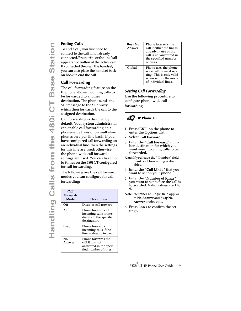#### <span id="page-24-0"></span>**Ending Calls**

To end a call, you first need to connect to the call if not already connected. Press  $\bigcirc$  or the line/call appearance button of the active call. If connected through the handset, you can also place the handset back on hook to end the call.

## <span id="page-24-2"></span><span id="page-24-1"></span>**Call Forwarding**

The call forwarding feature on the IP phone allows incoming calls to be forwarded to another destination. The phone sends the SIP message to the SIP proxy, which then forwards the call to the assigned destination.

Call forwarding is disabled by default. Your system administrator can enable call forwarding on a phone-wide basis or on multi-line phones on a per-line basis. If you have configured call forwarding on an individual line, then the settings for this line are used; otherwise, the phone-wide call forward settings are used. You can have up to 9 lines on the 480i CT configured for call forwarding.

The following are the call forward modes you can configure for call forwarding:

| Call<br>Forward-<br>Mode | Description                                                                               |
|--------------------------|-------------------------------------------------------------------------------------------|
| Off                      | Disables call forward                                                                     |
| All                      | Phone forwards all<br>incoming calls imme-<br>diately to the specified<br>destination.    |
| Busy                     | Phone forwards<br>incoming calls if the<br>line is already in use.                        |
| No<br>Answer             | Phone forwards the<br>call if it is not<br>answered in the speci-<br>fied number of rings |

| Busy No<br>Answer | Phone forwards the<br>call if either the line is<br>already in use or the<br>call is not answered in<br>the specified number<br>of rings. |
|-------------------|-------------------------------------------------------------------------------------------------------------------------------------------|
| Global            | Phone uses the phone-<br>wide call forward set-<br>ting. This is only valid<br>when setting the mode<br>of individual lines.              |

## <span id="page-24-3"></span>**Setting Call Forwarding**

Use the following procedure to configure phone-wide call forwarding.



- **1.** Press  $\overline{\triangle}$  on the phone to enter the Options List.
- 2. Select Call Forward.
- 3. Enter the "Call Forward" number destination for which you want your incoming calls to be forwarded.
- Note: If you leave the "Number" field blank, call forwarding is disabled.
- **4.** Enter the "**Call Mode**" that you want to set on your phone.
- 5. Enter the "Number of Rings" you want to set before the call is forwarded. Valid values are 1 to 9.
- Note: "Number of Rings" field applys to No Answer and Busy No Answer modes only.
- 6. Press Enter to confirm the settings.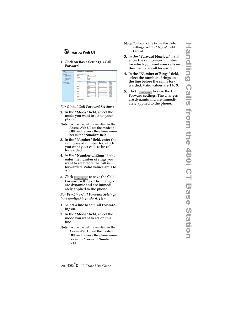#### **Aastra Web UI**

1. Click on Basic Settings->Call Forward.

| <b>Tester</b>                       | Please side Call Forest d Settings |                  |             |                |                        |
|-------------------------------------|------------------------------------|------------------|-------------|----------------|------------------------|
| Freton Information<br>Operation     | <b>Gobal Femauer</b>               |                  |             |                |                        |
| <b>Use Fasswort</b>                 | Marke                              | $\overline{C}$   | 킈           |                |                        |
| Buffares and Mill.<br>Handast Keys  | Skanline                           |                  |             |                |                        |
| Deschore                            | Hasher of Rauge                    | 日                |             |                |                        |
| <b>Band</b><br><b>Basic Senings</b> | Local Lace                         | Mida             |             | Forward Humber | <b>Hawher of Nancy</b> |
| <b>Cul Forward</b>                  | Line E.                            | <b>Clintical</b> | Ξ           |                | 上出                     |
|                                     | 14842                              | <b>GME</b>       | Ξ           |                | □□                     |
|                                     | Lum3                               | <b>Olinid</b>    | E           |                | 主                      |
|                                     | Los 4                              | <b>Cluted</b>    | 3           |                | i s                    |
|                                     | Lus 5.                             | Olivinal         | E           |                | 化出                     |
|                                     | Link 6:                            | <b>Olivial</b>   |             |                | 巨馬                     |
|                                     | $1ms$ <sup>2</sup>                 | <b>Clichal</b>   | <b>Alle</b> |                | 大王                     |
|                                     | Lee E.                             | <b>Chifts</b>    |             |                | h.                     |
|                                     | Line B                             | Olitek           | э           |                | 门                      |

*For Global Call Forward Settings*:

- 2. In the "Mode" field, select the mode you want to set on your phone.
- Note: To disable call forwarding in the Aastra Web UI, set the mode to OFF and remove the phone number in the "Number" field.
- 3. In the "Number" field, enter the call forward number for which you want your calls to be call forwarded.
- 4. In the "Number of Rings" field, enter the number of rings you want to set before the call is forwarded. Valid values are 1 to 9.
- **5.** Click  $\sqrt{\frac{S_{\text{av}}}{S_{\text{d}}}}$  to save the Call Forward settings. The changes are dynamic and are immediately applied to the phone.

*For Per-Line Call Forward Settings (not applicable to the 9112i):*

- 1. Select a line to set Call Forwarding on.
- 2. In the "Mode" field, select the mode you want to set on this line.
- Note: To disable call forwarding in the Aastra Web UI, set the mode to OFF and remove the phone number in the "Forward Number" field.
- Note: To force a line to use the global settings, set the "Mode" field to Global.
- 3. In the "Forward Number" field, enter the call forward number for which you want your calls on this line to be call forwarded.
- 4. In the "Number of Rings" field, select the number of rings on the line before the call is forwarded. Valid values are 1 to 9.
- **5.** Click  $\lceil \frac{\text{Save Settings}}{\text{Settings}} \rceil$  to save the Call Forward settings. The changes are dynamic and are immediately applied to the phone.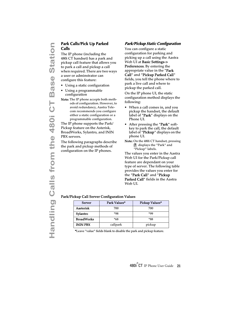# <span id="page-26-1"></span><span id="page-26-0"></span>**Calls**

**Park Calls/Pick Up Parked**<br> **Calls**<br>
The IP phone (including the<br>
480i CT handset) has a park are proposed. There are two on<br>
the nequired. There are two a user or administrator can<br>
configure this feature:<br>
<br>
Using a sta The IP phone (including the 480i CT handset) has a park and pickup call feature that allows you to park a call and pickup a call when required. There are two ways a user or adminstrator can configure this feature:

- Using a static configuration
- Using a programmable configuration
- Note: The IP phone accepts both methods of configuration. However, to avoid redundancy, Aastra Telecom recommends you configure either a static configuration or a programmable configuration.

The IP phone supports the Park/ Pickup feature on the Asterisk, BroadWorks, Sylantro, and ININ PBX servers.

The following paragraphs describe the park and pickup methods of configuration on the IP phones.

#### **Park/Pickup Static Configuration**

<span id="page-26-2"></span>You can configure a static configuration for parking and picking up a call using the Aastra Web UI at Basic Settings-> **Preferences.** By entering the appropriate value in the "**Park** Call" and "Pickup Parked Call" fields, you tell the phone where to park a live call and where to pickup the parked call.

On the IP phone UI, the static configuration method displays the following:

- When a call comes in, and you pickup the handset, the default label of "**Park**" displays on the Phone UI.
- After pressing the "**Park**" softkey to park the call, the default label of "**Pickup**" displays on the phone UI.
- Note: On the 480i CT handset, pressing Ï displays the "Park" and "Pickup" labels.

The values you enter in the Aastra Web UI for the Park/Pickup call feature are dependant on your type of server. The following table provides the values you enter for the "Park Call" and "Pickup Parked Call" fields in the Aastra Web UI.

#### Park/Pickup Call Server Configuration Values

| Server            | Park Values* | Pickup Values* |
|-------------------|--------------|----------------|
| Aasterisk         | 700          | 700            |
| Sylantro          | *98          | *gg            |
| <b>BroadWorks</b> | $*68$        | *88            |
| <b>ININ PBX</b>   | callpark     | pickup         |

\*Leave "value" fields blank to disable the park and pickup feature.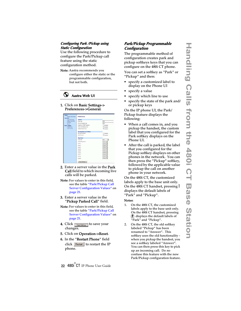#### <span id="page-27-0"></span>**Configuring Park /Pickup using Static Configuration**

Use the following procedure to configure the Park/Pickup call feature using the static configuration method.

Note: Aastra recommends you configure either the static or the programmable configuration, but not both.



#### 1. Click on Basic Settings-> Preferences->General.



- 2. Enter a server value in the Park Call field to which incoming live calls will be parked.
- Note: For values to enter in this field, see the table "Park/Pickup Call Server Configuration Values" on page 21.
- 3. Enter a server value in the "Pickup Parked Call" field.
- Note: For values to enter in this field, see the table "Park/Pickup Call Server Configuration Values" on page 21.
- **4.** Click  $\sqrt{\frac{S_{\text{ave Settings}}}{S_{\text{over}}}$  to save your changes.
- 5. Click on Operation->Reset.
- 6. In the "Restart Phone" field click Restart to restart the IP phone.

#### <span id="page-27-1"></span>**Park/Pickup Programmable Configuration**

The programmable method of configuration creates park and pickup softkeys keys that you can configure on the 480i CT phone.

You can set a softkey as "Park" or "Pickup" and then:

- specify a customized label to display on the Phone UI
- specify a value
- specify which line to use
- specify the state of the park and/ or pickup keys

On the IP phone UI, the Park/ Pickup feature displays the following:

- When a call comes in, and you pickup the handset, the custom label that you configured for the Park softkey displays on the Phone UI.
- After the call is parked, the label that you configured for the Pickup softkey displays on other phones in the network. You can then press the "Pickup" softkey, followed by the applicable value to pickup the call on another phone in your network.

On the 480i CT, the customized labels apply to the base unit only. On the 480i CT handset, pressing I displays the default labels of "Park" and "Pickup".

#### Notes:

- 1. On the 480i CT, the customized labels apply to the base unit only. On the 480i CT handset, pressing  $<sup>1</sup>$  displays the default labels of</sup> "Park" and "Pickup".
- 2. On the 480i CT, the old softkey labeled "Pickup" has been renamed to "Answer". This softkey uses the old functionality when you pickup the handset, you see a softkey labeled "Answer". You can then press this key to pick up an incoming call. Do no confuse this feature with the new Park/Pickup configuration feature.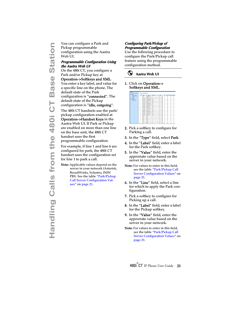Pickup programmable configuration using the Aastra Web UI.

#### <span id="page-28-1"></span>**Programmable Configuration Using the Aastra Web UI**

On the 480i CT, you configure a Park and/or Pickup key at

Operation->Softkeys and XML.

You enter a key label, and value for a specific line on the phone. The default state of the Park configuration is "connected". The default state of the Pickup configuration is "idle, outgoing".

**Handling Calls from the Assemble Configuration**<br> **Halon Calls and Configuration L**<br> **Handling Configuration L**<br> **Handling Configuration L**<br> **Handling Calls CT**, you configure<br> **CALLS From the 480i CT**<br> **CO** the 480i CT y The 480i CT handsets use the park/ pickup configuration enabled at Operation->Handset Keys in the Aastra Web UI. If Park or Pickup are enabled on more than one line on the base unit, the 480i CT handset uses the first programmable configuration.

For example, if line 1 and line 6 are configured for park, the 480i CT handset uses the configuration set for line 1 to park a call.

Note: Applicable values depend on the server in your network (Asterisk, BroadWorks, Sylantro, ININ PBX. See the table "Park/Pickup Call Server Configuration Values" on page 21.

#### <span id="page-28-0"></span>**Configuring Park/Pickup of Programmable Configuration**

Use the following procedure to configure the Park/Pickup call feature using the programmable configuration method.



#### 1. Click on Operation-> Softkeys and XML.

|              | <b>Sand</b>    | <b>Last</b>                                         | <b>Mark</b> |   |   | Copyright by postal follows |   |                |
|--------------|----------------|-----------------------------------------------------|-------------|---|---|-----------------------------|---|----------------|
| ٠            | ⊶              | $\frac{1}{2}$ Form                                  |             |   | B |                             |   |                |
| ï            | $\overline{a}$ | <b>B</b> Private                                    |             |   | B |                             |   |                |
| k            | <b>HARRY</b>   | <b>B</b> Stone Club                                 | 714         |   | R |                             |   |                |
| ı<br>o.      | <b>GALLER</b>  | <b>REGISTER</b>                                     | m           | Ħ | y |                             |   |                |
| ٠            | makers         | $2$ Pose                                            | m           |   | ä |                             |   |                |
| ٠            | <i>assists</i> | <b>REGISTER PTT</b>                                 |             |   | X |                             |   |                |
| ٠            | <b>HARRISE</b> | $\overline{H}$ $\overline{H}$ and an $\overline{H}$ | - 197       |   | Ė |                             |   |                |
| ٠            | <b>SAARED</b>  | $\overline{B}$ (Figure 1):                          | <b>FIE</b>  | Ħ | R |                             |   |                |
| ı            | <b>HARRIS</b>  | 同会の運                                                | Ħ           |   | ä |                             |   |                |
| ×            | <b>HAARIA</b>  | <b>RELEASE</b>                                      | $\sim$      |   | Ė |                             |   |                |
| ×            | <b>GRANDE</b>  | <b>H</b> Fire                                       | EIT         | н | E |                             |   |                |
| u            | <b>HAANSA</b>  | 22000000                                            | Fu.         |   | ÿ |                             |   |                |
| 15           | <b>HARMER</b>  | <b>B</b> Rammille                                   | "Fil        |   | R |                             |   |                |
| u            | <b>HARRY</b>   | H Sheet                                             | 压           |   | × |                             |   |                |
| is.          | $rac{1}{2}$    | W.                                                  |             |   |   |                             |   |                |
| $\mathbf{u}$ | =              | 31                                                  |             |   |   |                             |   |                |
| ×            | --             | 割                                                   |             |   |   |                             |   |                |
| $\sim$       | m.             | 3t                                                  |             | T |   |                             |   |                |
| u            | <b>STAR</b>    | E                                                   |             |   |   |                             |   |                |
| $\sim$       | $rac{1}{2}$    | 可                                                   |             |   |   |                             | ٠ | $\overline{1}$ |

- 2. Pick a softkey to configure for Parking a call.
- 3. In the "Type" field, select Park.
- 4. In the "Label" field, enter a label for the Park softkey.
- 5. In the "Value" field, enter the approriate value based on the server in your network.
- Note: For values to enter in this field, see the table "Park/Pickup Call Server Configuration Values" on page 21.
- **6.** In the "Line" field, select a line for which to apply the Park configuration.
- 7. Pick a softkey to configure for Picking up a call.
- 8. In the "Label" field, enter a label for the Pickup softkey.
- 9. In the "Value" field, enter the approriate value based on the server in your network.
- Note: For values to enter in this field, see the table "Park/Pickup Call Server Configuration Values" on page 21.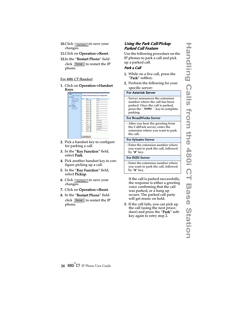- **10.**Click  $\lceil \frac{\text{Save Settings}}{\text{Settings}} \rceil$  to save your changes.
- 11.Click on Operation->Reset.
- 12. In the "Restart Phone" field click Restart to restart the IP phone.

#### *For 480i CT Handset*

1. Click on Operation->Handset Keys.

| <b>User Password</b>                       | Key: | Type:                   | Lidwi                 |
|--------------------------------------------|------|-------------------------|-----------------------|
| <b>School and ML</b><br><b>HandsetVavs</b> | ċ.   | э<br>line 4             | Line &                |
| Directory                                  | s    | line <sub>3</sub><br>×  | Fw2                   |
| Fiesat.<br><b>Lesic Settings</b>           | s    | Ξ<br>link2              | <b>Fact</b>           |
| Preterences                                | Ł    | tiniet<br>∍             | Fix/4                 |
| <b>Call Timesed</b>                        | ¢.   | $\overline{z}$<br>line? | <b>Fax</b>            |
|                                            | ĸ    | Inet<br>≖               | Fx1                   |
|                                            | t.   | line 7<br>×             | <b>FW7</b>            |
|                                            | ĸ    | ٠<br>Inet               | $T \times 2$          |
|                                            | ÷    | lines<br>Ξ              | <b>Irus</b>           |
|                                            | 10   | tain<br>×               | Fict Of lash          |
|                                            | 11   | <b>Gar</b><br>٠         | <b>FICESSER</b>       |
|                                            | 12   | ∍<br><b>Fark</b>        | Fict 2PARK            |
|                                            | 13   | pickup 30               | <b>First Spicklup</b> |
|                                            | 14   | lost<br>◾               | FICT #Cord            |
|                                            | is.  | hone 30                 |                       |

- 2. Pick a handset key to configure for parking a call.
- 3. In the "Key Function" field, select **Park**.
- 4. Pick another handset key to configure picking up a call.
- 5. In the "Key Function" field, select Pickup.
- **6.** Click  $\sqrt{\frac{S_{\text{ave Settings}}}{S_{\text{settings}}}}$  to save your changes.
- 7. Click on Operation->Reset.
- 8. In the "Restart Phone" field click Restart the IP phone.

#### <span id="page-29-0"></span>**Using the Park Call/Pickup Parked Call Feature**

Use the following procedure on the IP phones to park a call and pick up a parked call.

#### **Park a Call**

- 1. While on a live call, press the "Park" softkey.
- 2. Perform the following for your specific server:

#### **For Asterisk Server**

- Server announces the extension number where the call has been parked. Once the call is parked,  $p$  press the  $\sqrt{$  Goodbye  $\bigcirc$  key to complete parking.

#### For BroadWorks Server

- After you hear the greeting from the CallPark server, enter the extension where you want to park the call.

#### For Sylnatro Server

- Enter the extension number where you want to park the call, followed by "#" key.

#### For ININ Server

- Enter the extension number where you want to park the call, followed by "#" key.

If the call is parked successfully, the response is either a greeting voice confirming that the call was parked, or a hang up occurs. The parked call party will get music on hold.

3. If the call fails, you can pick up the call (using the next procedure) and press the "**Park**" softkey again to retry step 2.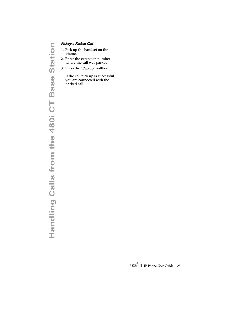- 1. Pick up the handset on the phone.
- 2. Enter the extension number where the call was parked.
- 3. Press the "Pickup" softkey.

If the call pick up is successful, you are connected with the parked call.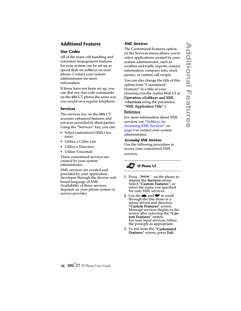## <span id="page-31-0"></span>**Additional Features**

#### <span id="page-31-4"></span><span id="page-31-1"></span>**Star Codes**

<span id="page-31-3"></span>All of the main call handling and extension management features for your system can be set up as speed dials on softkeys on your phone. Contact your system administrator for more information.

If these have not been set up, you can dial any star code commands on the 480i CT phone the same way you would on a regular telephone.

#### <span id="page-31-2"></span>**Services**

The services key on the 480i CT accesses enhanced features and services provided by third parties. Using the "Services" key, you can:

- Select customized (XML) features
- Utilize a Caller List
- Utilize a Directory
- Utilize Voicemail

These customized services are created by your system administrator.

XML services are created and provided by your application developer through the diverse web based language of XML. Availability of these services depends on your phone system or service provider.

#### **XML Services**

The Customized Features option on the Services menu allows you to select applications created by your system administrator, such as weather and traffic reports, contact information, company info, stock quotes, or custom call scripts.

You can also change the title of this option from "Customized Features" to a title of your choosing (via the Aastra Web UI at Operation->Softkeys and XML ->Services using the parameter, "XML Application Title".)

#### Reference

For more information about XML services, see ["Softkeys for](#page-14-0)  [Accessing XML Services"](#page-14-0) on [page 9](#page-14-0) or contact your system administrator.

#### **Accessing XML Services**

Use the following procedure to access your customized XML services.



- **1** Press *Services* on the phone to display the **Services** menu.<br>Select "**Custom Features**", or select the name you specified for your XML services.
- 2 Use the  $\bullet$  and  $\bullet$  to scroll through the line items in a menu-driven and directory "Custom Features" screen. Message services display to the screen after selecting the "Custom Features" option. For user input services, follow the prompts as appropriate.
- 3 To exit from the "Customized Features" screen, press Exit.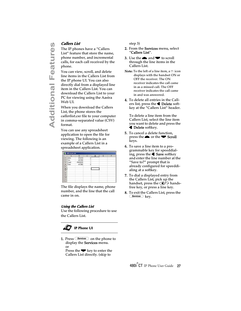<span id="page-32-2"></span><span id="page-32-0"></span>The IP phones have a "Callers List" feature that store the name, phone number, and incremental calls, for each call received by the phone.

**Adders List**<br>
The IP phon<br>
List" feature<br>
phone numb<br>
calls, for eac<br>
phone.<br>
You can view<br>
line items in<br>
the IP phone<br>
directly dial<br>
item in the C<br>
download th<br>
PC for viewi<br>
Web UI.<br>
When you d<br>
List, the phone caller You can view, scroll, and delete line items in the Callers List from the IP phone UI. You can also directly dial from a displayed line item in the Callers List. You can download the Callers List to your PC for viewing using the Aastra Web UI.

When you download the Callers List, the phone stores the *callerlist.csv* file to your computer in comma-separated value (CSV) format.

You can use any spreadsheet application to open the file for viewing. The following is an example of a Callers List in a spreadsheet application.

|    | Α     | B       | c                       | D | E | F |
|----|-------|---------|-------------------------|---|---|---|
|    | John  | 41373   | $\overline{\mathbf{2}}$ |   |   |   |
| 2  | Tim   | 41376   | ١                       |   |   |   |
| з  | Carol | 4443245 |                         |   |   |   |
|    | Tom   | 41356   | 3                       |   |   |   |
| 6  |       |         |                         |   |   |   |
| G  |       |         |                         |   |   |   |
|    |       |         |                         |   |   |   |
| 8  |       |         |                         |   |   |   |
| ÿ  |       |         |                         |   |   |   |
| 10 |       |         |                         |   |   |   |
|    |       |         |                         |   |   |   |
| 12 |       |         |                         |   |   |   |

The file displays the name, phone number, and the line that the call came in on.

#### **Using the Callers List**

Use the following procedure to use the Callers List.



1. Press *Services* on the phone to display the **Services** menu. or Press the  $\blacktriangleright$  key to enter the Callers List directly. (skip to

step 3)

- 2. From the Services menu, select "Callers List".
- **3.** Use the **a** and **v** to scroll through the line items in the Callers List.
- **Note:** To the left of a line item, a  $\mathbb{B}$  icon displays with the handset ON or OFF the receiver. The ON receiver indicates the call came in as a missed call. The OFF receiver indicates the call came in and was answered.
- 4. To delete all entries in the Callers list, press the <<a>
<a>
Delete softkey at the "Callers List" header.

To delete a line item from the Callers List, select the line item you want to delete and press the  $\blacktriangleleft$  Delete softkey.

- 5. To cancel a delete function, press the  $\bullet$  or the  $\bullet$  Scroll keys.
- 6. To save a line item to a programmable key for speeddialing, press the  $\triangleleft$  Save softkey and enter the line number at the "Save to?" prompt that is already configured for speeddialing at a softkey.
- 7. To dial a displayed entry from the Callers List, pick up the handset, press the  $\Box$ / $\Box$  handsfree key, or press a line key.
- <span id="page-32-1"></span>8. To exit the Callers List, press the services key.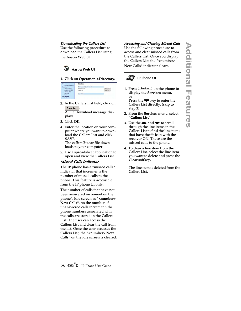#### **Downloading the Callers List**

Use the following procedure to download the Callers List using the Aastra Web UI.



#### 1. Click on Operation->Directory.

| States<br>Dystem Information.                  | Directory                    |  |
|------------------------------------------------|------------------------------|--|
|                                                | First Available for Download |  |
| User Pannword                                  | Dawrtney List                |  |
| Softkeys and XML.<br>Handset Keys              | Callers List                 |  |
| <b><i><u>Disa</u>rksa</i></b><br><b>Zianet</b> | <b>Defeat Films</b>          |  |
| <b>Basic Settings</b><br>Call Energy           |                              |  |

2. In the Callers List field, click on Save As...

A File Download message displays.

- 3. Click OK.
- 4. Enter the location on your computer where you want to download the Callers List and click SAVE.

The *callerslist.csv* file downloads to your computer.

5. Use a spreadsheet application to open and view the Callers List.

#### **Missed Calls Indicator**

<span id="page-33-3"></span>The IP phone has a "missed calls" indicator that increments the number of missed calls to the phone. This feature is accessible from the IP phone UI only.

The number of calls that have not been answered increment on the phone's idle screen as "<number> New Calls". As the number of unanswered calls increment, the phone numbers associated with the calls are stored in the Callers List. The user can access the Callers List and clear the call from the list. Once the user accesses the Callers List, the "<number> New Calls" on the idle screen is cleared.

#### <span id="page-33-1"></span><span id="page-33-0"></span>**Accessing and Clearing Missed Calls**

Use the following procedure to access and clear missed calls from the Callers List. Once you display the Callers List, the "<number> New Calls" indicator clears.

## **IP Phone UI**

1. Press *Services* on the phone to display the Services menu. or Press the  $\blacktriangledown$  key to enter the

Callers List directly. (skip to step 3)

- 2. From the Services menu, select "Callers List".
- 3. Use the  $\blacktriangle$  and  $\blacktriangledown$  to scroll through the line items in the Callers List to find the line items that have the  $\bar{\mathbb{c}}$  icon with the receiver ON. These are the missed calls to the phone.
- <span id="page-33-2"></span>4. To clear a line item from the Callers List, select the line item you want to delete and press the Clear softkey.

The line item is deleted from the Callers List.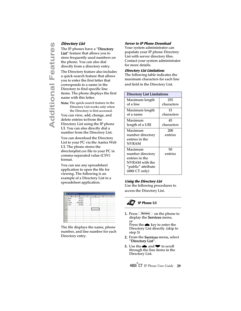<span id="page-34-4"></span><span id="page-34-2"></span>The IP phones have a "**Directory** List" feature that allows you to store frequently used numbers on the phone. You can also dial directly from a directory entry.

**Add The IP phones I**<br>
List" feature the<br>
store frequently<br>
the phone. You<br>
directly from a<br>
The Directory for<br>
a quick-search<br>
you to enter the<br>
corresponds to<br>
Directory to fin<br> **Added Example 1**<br>
Directory I<br>
the Direct The Directory feature also includes a quick-search feature that allows you to enter the first letter that corresponds to a name in the Directory to find specific line items. The phone displays the first name with this letter.

Note: The quick-search feature in the Directory List works only when the Directory is first accessed.

You can view, add, change, and delete entries to/from the Directory List using the IP phone UI. You can also directly dial a number from the Directory List.

You can download the Directory List to your PC via the Aastra Web UI. The phone stores the *directorylist.csv* file to your PC in comma-separated value (CSV) format.

You can use any spreadsheet application to open the file for viewing. The following is an example of a Directory List in a spreadsheet application.



The file displays the name, phone number, and line number for each Directory entry.

#### <span id="page-34-0"></span>**Server to IP Phone Download**

Your system administrator can populate your IP phone Directory List with server directory files. Contact your system administrator for more details.

#### <span id="page-34-1"></span>**Directory List Limitations**

The following table indicates the maximum characters for each line and field in the Directory List.

| <b>Directory List Limitations</b> |            |  |  |  |
|-----------------------------------|------------|--|--|--|
| Maximum length                    | 255        |  |  |  |
| of a line                         | characters |  |  |  |
| Maximum length                    | 15         |  |  |  |
| of a name                         | characters |  |  |  |
| Maximum                           | 45         |  |  |  |
| length of a URI                   | characters |  |  |  |
| Maximum                           | 200        |  |  |  |
| number directory                  | entries    |  |  |  |
| entries in the                    |            |  |  |  |
| <b>NVRAM</b>                      |            |  |  |  |
| Maximum                           | 50         |  |  |  |
| number directory                  | entries    |  |  |  |
| entries in the                    |            |  |  |  |
| NVRAM with the                    |            |  |  |  |
| "public" attribute                |            |  |  |  |
| (480i CT only)                    |            |  |  |  |

#### <span id="page-34-3"></span>**Using the Directory List**

Use the following procedures to access the Directory List.

## **IP Phone UI**

1. Press  $S$  on the phone to display the **Services** menu. or

Press the  $\triangle$  key to enter the Directory List directly. (skip to step 3)

- 2. From the Services menu, select "Directory List".
- **3.** Use the **a** and **v** to scroll through the line items in the Directory List.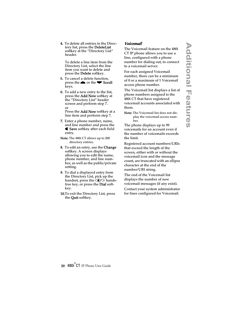4. To delete all entries in the Directory list, press the DeleteList softkey at the "Directory List" header.

To delete a line item from the Directory List, select the line item you want to delete and press the **Delete** softkey.

- 5. To cancel a delete function, press the  $\blacktriangle$  or the  $\blacktriangledown$  Scroll keys.
- 6. To add a new entry to the list, press the Add New softkey at the "Directory List" header screen and perform step 7. or

Press the **Add New** softkey at a line item and perform step 7.

- 7. Enter a phone number, name, and line number and press the **■ Save** softkey after each field entry.
- Note: The 480i CT allows up to 200 directory entries.
- **8.** To edit an entry, use the **Change** softkey. A screen displays allowing you to edit the name, phone number, and line number, as well as the public/private setting.
- 9. To dial a displayed entry from the Directory List, pick up the handset, press the  $\Box$ / $\Box$  handsfree key, or press the **Dial** softkey.
- 10.To exit the Directory List, press the **Quit** softkey.

#### <span id="page-35-1"></span>**Voicemail**

<span id="page-35-0"></span>The Voicemail feature on the 480i CT IP phone allows you to use a line, configured with a phone number for dialing out, to connect to a voicemail server.

For each assigned Voicemail number, there can be a minimum of 0 or a maximum of 1 Voicemail access phone number.

The Voicemail list displays a list of phone numbers assigned to the 480i CT that have registered voicemail accounts associated with them.

Note: The Voicemail list does not display the voicemail access number.

The phone displays up to 99 voicemails for an account even if the number of voicemails exceeds the limit.

Registered account numbers/URIs that exceed the length of the screen, either with or without the voicemail icon and the message count, are truncated with an ellipse character at the end of the number/URI string.

The end of the Voicemail list displays the number of new voicemail messages (if any exist).

Contact your system administrator for lines configured for Voicemail.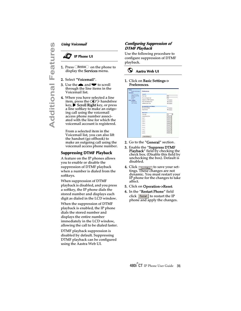#### **IP Phone UI**

- **1.** Press  $\frac{\text{Services}}{\text{O}}$  on the phone to display the **Services** menu.
- 2. Select "Voicemail".
- **3.** Use the **n** and **v** to scroll through the line items in the Voicemail list.
- **Additional Features**<br> **Adding Voicemail**<br> **Adding 1.** Press Convices<br>
display the Securios<br>
2. Select "Voicemail list<br>
Voicemail list<br>
4. When you have item, press the key, **D** Scroll<br>
a line softkey<br>
ing call using<br>
acce 4. When you have selected a line item, press the  $\Box$ / $\Omega$  handsfree key, ▶ Scroll Right key, or press a line softkey to make an outgoing call using the voicemail access phone number associated with the line for which the voicemail account is registered.

From a selected item in the Voicemail list, you can also lift the handset (go offhook) to make an outgoing call using the voicemail access phone number.

#### <span id="page-36-0"></span>**Suppressing DTMF Playback**

A feature on the IP phones allows you to enable or disable the suppression of DTMF playback when a number is dialed from the softkeys.

When suppression of DTMF playback is disabled, and you press a softkey, the IP phone dials the stored number and displays each digit as dialed in the LCD window.

When the suppression of DTMF playback is enabled, the IP phone dials the stored number and displays the entire number immediately in the LCD window, allowing the call to be dialed faster.

DTMF playback suppression is disabled by default. Suppressing DTMF playback can be configured using the Aastra Web UI.

#### **Configuring Suppression of DTMF Playback**

Use the following procedure to configure suppression of DTMF playback.

 $\circ$ **Aastra Web UI**

#### 1. Click on Basic Settings-> Preferences.

| Status<br><b>Evotem Intormation</b><br>Operation | <b>Preferences</b>                |                        |
|--------------------------------------------------|-----------------------------------|------------------------|
| <b>User Password</b>                             | General of                        |                        |
| Software and lote.                               | Park Call                         | रिस्ब                  |
| Deectory<br><b>Henet</b>                         | Prok Up Parked Call:              | Fött                   |
| <b>Basic Settings</b>                            | <b>Suppress DTMF Flashack</b>     | <b>I</b> Enabled       |
| Preferences                                      | Play Call Walting Tone            | <b>P</b> Enabled       |
| Call Ferward                                     | <b>Stuttered Dial Tone</b>        | <b>P</b> Enabled       |
|                                                  | <b>Incoming Intercom Settings</b> |                        |
|                                                  | Microphone Mute                   | I <sup>T</sup> Enabled |
|                                                  | Achi-Answer                       | <b>P.</b> Enabled      |
|                                                  | <b>Raug Toners</b>                |                        |
|                                                  | Tone Set                          | UB                     |
|                                                  | <b>Olobal Ring Tone</b>           | Tone 1.76              |
|                                                  | Line 1                            | Occasi 30              |
|                                                  | Line 3                            | Olotal *               |
|                                                  | Line 3                            | Olivhal .              |
|                                                  | <b>Line A</b>                     | Olichat W              |
|                                                  | tine 6                            | Oldteil 3              |
|                                                  | Line B                            | Oldest 30              |
|                                                  | Line 7                            | Orchat (*)             |
|                                                  | Line B                            | Olobal (M)             |
|                                                  | Line 9                            | Outal #                |

- 2. Go to the "General" section.
- <span id="page-36-1"></span>3. Enable the "Suppress DTMF Playback" field by checking the check box. (Disable this field by unchecking the box). Default is disabled.
- **4.** Click  $\sqrt{\frac{S_{\text{ave Settings}}}{S_{\text{setlings}}}}$  to save your settings. These changes are not dynamic. You must restart your IP phone for the changes to take affect.
- 5. Click on Operation->Reset.
- 6. In the "Restart Phone" field  $click$  Restart the IP phone and apply the changes.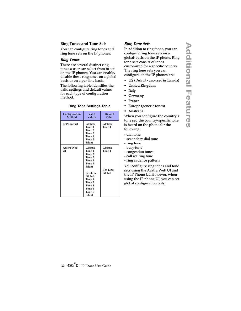#### <span id="page-37-0"></span>**Ring Tones and Tone Sets**

You can configure ring tones and ring tone sets on the IP phones.

#### **Ring Tones**

There are several distinct ring tones a user can select from to set on the IP phones. You can enable/ disable these ring tones on a global basis or on a per-line basis.

The following table identifies the valid settings and default values for each type of configuration method.

<span id="page-37-1"></span>

| Configuration<br>Method | Valid<br><b>Values</b>                                                          | Default<br>Value    |
|-------------------------|---------------------------------------------------------------------------------|---------------------|
| <b>IP Phone UI</b>      | Global:<br>Tone 1<br>Tone 2<br>Tone 3<br>Tone 4<br>Tone 5<br>Silent             | Global:<br>Tone 1   |
| Aastra Web<br>UI        | Global:<br>Tone 1<br>Tone 2<br>Tone 3<br>Tone 4<br>Tone 5<br>Silent             | Global:<br>Tone 1   |
|                         | Per-Line:<br>Global<br>Tone 1<br>Tone 2<br>Tone 3<br>Tone 4<br>Tone 5<br>Silent | Per-Line:<br>Global |

#### **Ring Tone Settings Table**

#### <span id="page-37-3"></span><span id="page-37-2"></span>**Ring Tone Sets**

In addition to ring tones, you can configure ring tone sets on a global-basis on the IP phone. Ring tone sets consist of tones customized for a specific country. The ring tone sets you can configure on the IP phones are:

- US (Default also used in Canada)
- United Kingdom
- Italy
- Germany
- France
- Europe (generic tones)
- Australia

When you configure the country's tone set, the country-specific tone is heard on the phone for the following:

- dial tone
- secondary dial tone
- ring tone
- busy tone
- congestion tones
- call waiting tone
- ring cadence pattern

You configure ring tones and tone sets using the Aastra Web UI and the IP Phone UI. However, when using the IP phone UI, you can set global configuration only.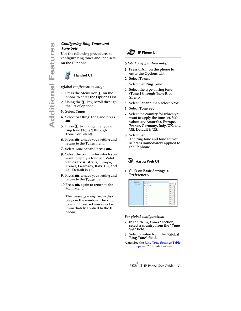# **Tone Sets**

**Configuring Ring Tones and Tone Sets**<br>
Use the following procedures<br>
on the IP phone.<br> **Additional Features**<br> **Additional Features**<br> **Additional Configuration only)**<br>
1. Press the Menu key **U** on the phone to enter the Op Use the following procedures to configure ring tones and tone sets on the IP phone.



#### *(global configuration only)*

- **1.** Press the Menu key  $\bigcirc$  on the phone to enter the Options List.
- 2. Using the  $\Psi$  key, scroll through the list of options.
- 3. Select Tones.
- 4. Select Set Ring Tone and press r.
- **5.** Press  $\bigcirc$  to change the type of ring tone (**Tone 1** through Tone 5 or Silent).
- **6.** Press  $\triangle$  to save your setting and return to the **Tones** menu.
- 7. Select Tone Set and press **e.**
- 8. Select the country for which you want to apply a tone set. Valid values are Australia, Europe, France, Germany, Italy, UK, and US. Default is US.
- **9.** Press  $\bullet$  to save your setting and return to the **Tones** menu.
- 10. Press  $\triangle$  again to return to the Main Menu.

The message *-confirmed-* displays in the window. The ring tone and tone set you select is immediately applied to the IP phone.



#### *(global configuration only)*

- **1.** Press  $\infty$  on the phone to enter the Options List.
- 2. Select Tones.
- 3. Select Set Ring Tone.
- 4. Select the type of ring tone (Tone 1 through Tone 5, or Silent).
- 5. Select Set and then select Next.
- 6. Select Tone Set.
- 7. Select the country for which you want to apply the tone set. Valid values are Australia, Europe, France, Germany, Italy, UK, and US. Default is US.

#### 8. Select Set.

The ring tone and tone set you select is immediately applied to the IP phone.

#### $\odot$ **Aastra Web UI**

1. Click on Basic Settings-> Preferences.

| <b>Ilasic Settings</b><br>Preferences | <b>Ring Toters</b>      |              |
|---------------------------------------|-------------------------|--------------|
| Call Forward                          | Tone Set                | Australia 34 |
| <b>CONTRACTOR</b>                     | Olobal Ring Tone<br>. . | Tone 1 m     |
|                                       | Line 1                  | Olobal 3     |
|                                       | Line 2                  | Olobal 35    |
|                                       | Line 3                  | Tone 2 m     |
|                                       | Link &                  | Otobal 35    |
|                                       | Line 5                  | Olobal 30    |
|                                       | Line 6                  | Olobal >     |
|                                       | Line 7                  | Olobal 3     |
|                                       | Line 6                  | Global 3     |
|                                       | Line 9                  | Olobal 3     |

#### *For global configuration:*

- 2. In the "Ring Tones" section, select a country from the "**Tone** Set" field.
- **3.** Select a value from the "**Global** Ring Tone" field.
- Note: See the [Ring Tone Settings Table](#page-37-1) on [page 32](#page-37-1) for valid values.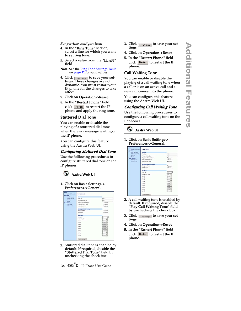#### *For per-line configuration:*

- 4. In the "Ring Tone" section, select a line for which you want to set ring tone.
- 5. Select a value from the "LineN" field.
- Note: See the [Ring Tone Settings Table](#page-37-1) on [page 32](#page-37-1) for valid values.
- **6.** Click  $\lceil \frac{\text{Save Setting}}{\text{Save Setting}} \rceil$  to save your settings. These changes are not dynamic. You must restart your IP phone for the changes to take affect.
- 7. Click on Operation->Reset.
- 8. In the "Restart Phone" field  $click$  Restart the IP phone and apply the ring tone.

#### <span id="page-39-3"></span><span id="page-39-0"></span>**Stuttered Dial Tone**

You can enable or disable the playing of a stuttered dial tone when there is a message waiting on the IP phone.

You can configure this feature using the Aastra Web UI.

#### **Configuring Stuttered Dial Tone**

Use the folllowing procedures to configure stuttered dial tone on the IP phones.



# 1. Click on Basic Settings->



2. Stuttered dial tone is enabled by default. If required, disable the **"Stuttered Dial Tone"** field by unchecking the check box.

- **3.** Click  $\lceil$  save settings  $\rceil$  to save your settings.
- 4. Click on Operation->Reset.
- 5. In the "Restart Phone" field click Restart to restart the IP phone.

## <span id="page-39-2"></span><span id="page-39-1"></span>**Call Waiting Tone**

You can enable or disable the playing of a call waiting tone when a caller is on an active call and a new call comes into the phone.

You can configure this feature using the Aastra Web UI.

## **Configuring Call Waiting Tone**

Use the folllowing procedures to configure a call waiting tone on the IP phones.

#### O **Aastra Web UI**

#### 1. Click on Basic Settings-> Preferences->General.

| States<br><b>Bydam Internation</b>     | <b>Preferences</b>             |                   |
|----------------------------------------|--------------------------------|-------------------|
| <b>Cleare adjusts</b><br>User Password | German of                      |                   |
| Softwa and lot.                        | Park Call                      | रिख               |
| Deactory<br><b>Heset</b>               | Pick Up Parked Call:           | 700               |
| <b>Basic Settings</b>                  | <b>Suppress DTMF Flastrack</b> | <b>F</b> Engine   |
| Preferences                            | Play Call Walbrig Tone         | <b>P</b> Enabled  |
| <b>Californing</b>                     | <b>Stuttered Dial Tone</b>     | <b>P</b> Enabled  |
|                                        | Incoming Intercom Settings     |                   |
|                                        | Microphone Mute                | <b>IT</b> English |
|                                        | Achi-Annwer                    | <b>P. Enabled</b> |
|                                        | <b>Rang Torses</b>             |                   |
|                                        | Tone fiat                      | ज़ि               |
|                                        | <b>Olobal Ring Tone</b>        | Tone 1.W          |
|                                        | Line 1                         | Global 30         |
|                                        | Line 3                         | Outsid W          |
|                                        | Line 3                         | Olohal (*         |
|                                        | Line &                         | Olotal 30         |
|                                        | tine 5                         | Oldeal 3          |
|                                        | Line 6                         | Dipbat 30         |
|                                        | Line 7                         | Orchat .          |
|                                        | Line B                         | Olobal (M)        |
|                                        | <b>Line 9</b>                  | Olobal 3          |

- 2. A call waiting tone is enabled by default. If required, disable the "Play Call Waiting Tone" field by unchecking the check box.
- **3.** Click  $\sqrt{\frac{S_{\text{ave Seltings}}}{S_{\text{over}}}}$  to save your settings.
- 4. Click on Operation->Reset.
- 5. In the "Restart Phone" field click Restart to restart the IP phone.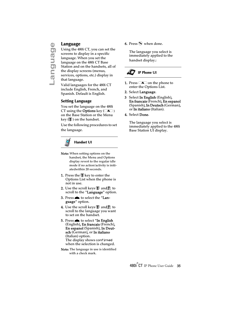<span id="page-40-3"></span><span id="page-40-0"></span>**Language**<br>
Using the 48<br>
screens to di<br>
language. W<br>
language on<br>
Station and the display s<br>
services, opt<br>
that language<br>
Valid language Using the 480i CT, you can set the screens to display in a specific language. When you set the language on the 480i CT Base Station and on the handsets, all of the display screens (menus, services, options, etc.) display in that language.

Valid languages for the 480i CT include English, French, and Spanish. Default is English.

#### <span id="page-40-2"></span><span id="page-40-1"></span>**Setting Language**

You set the language on the 480i CT using the **Options** key  $(\sqrt{\bullet})$ on the Base Station or the Menu key  $(\bigcup_{i=1}^{\infty}$  on the handset.

Use the following procedures to set the language.



#### **Handset UI**

- Note: When setting options on the handset, the Menu and Options display revert to the regular idle mode if no action/activity is initiatedwithin 20 seconds.
- **1.** Press the  $\bigcirc$  key to enter the Options List when the phone is not in use.
- 2. Use the scroll keys  $\blacksquare$  and  $\blacksquare$  to scroll to the "**Language**" option.
- 3. Press $\triangleq$  to select the "Language" option.
- **4.** Use the scroll keys  $\bigcirc$  and **f** to scroll to the language you want to set on the handset.
- 5. Press  $\triangle$  to select "In English (English), En francais (French), En espanol (Spanish), In Deutsch (German), or In italiano (Italian) option. The display shows confirmed when the selection is changed.
- Note: The language in use is identified with a check mark.

**6.** Press  $\odot$  when done.

The language you select is immediately applied to the handset display.:

## **IP Phone UI**

- **1.** Press  $\infty$  on the phone to enter the Options List.
- 2. Select Language.
- 3 Select In English (English), En francais (French), En espanol (Spanish), In Deutsch (German), or In italiano (Italian).
- 4. Select Done.

The language you select is immediately applied to the 480i Base Station UI display.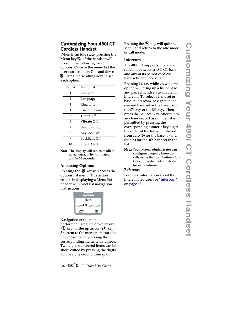#### <span id="page-41-0"></span>**Customizing Your 480i CT Cordless Handset**

When in an idle state, pressing the Menu key  $\bigcirc$  of the handset will present the following list of options. Once in the menu list the user can scroll up  $\left( \frac{1}{\epsilon} \right)$  and down  $\Psi$  using the scrolling keys to see each option.

| Item# | Menu list           |
|-------|---------------------|
| 1     | Intercom            |
| 2     | Language            |
| 3     | <b>Ring tone</b>    |
| 4     | Custom name         |
| 5     | Timer Off           |
| 6     | Vibrate Off         |
| 7     | Hset pairing        |
| 8     | Key lock Off        |
| 9     | Backlight Off       |
| 10    | <b>Silent Alert</b> |

Note: The display will return to idle if no action/activity is initiated within 20 seconds.

#### <span id="page-41-1"></span>**Accessing Options**

Pressing the  $\Psi$  key will access the options list menu. This action results in displaying a Menu list header with brief list navigation instructions .



Navigation of the menu is performed using the down arrow ( $\bigcirc$  key) or the up arrow ( $\bigcirc$  key). Shortcut to the menu item can also be performed by pressing the corresponding menu item number. Two digits numbered items can be short-cutted by pressing the digits within a one second time span.

Pressing the  $\odot$  key will quit the Menu and return to the idle mode or call mode.

#### <span id="page-41-2"></span>**Intercom**

The 480i CT supports intercom function between a 480i CT base and any of its paired cordless handsets, and vice versa.

Pressing Select while viewing this option will bring up a list of base and paired handsets available for intercom. To select a handset or base to intercom, navigate to the desired handset or the base using the  $\bigcirc$  key or the  $\bigcirc$  key. Then press the Call soft key. Shortcut to any handset or base in the list is permitted by pressing the corresponding numeric key digit; the order of the list is numbered from zero (0) for the base (0) and four (4) for the 4th handset in the list.

Note: Your system administrator can configure outgoing Intercom calls using the Icom button. Contact your system administrator for more information.

#### Reference

For more information about the intercom feature, see ["Intercom"](#page-18-0) on [page 13](#page-18-0).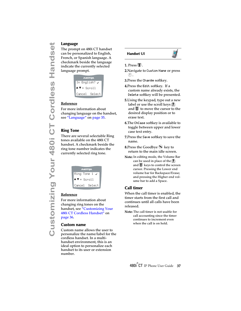#### <span id="page-42-0"></span>Language

The prompt on 480i CT handset can be personalized to English, French, or Spanish language. A checkmark beside the language indicate the currently selected language prompt.

| <b>A/ASTRA</b>                          |  |
|-----------------------------------------|--|
| In English? √                           |  |
| $\triangle \blacktriangledown =$ Scroll |  |
| Select<br>Cancel                        |  |

#### Reference

For more information about changing language on the handset, see ["Language"](#page-40-0) on [page 35.](#page-40-0)

#### <span id="page-42-1"></span>**Ring Tone**

There are several selectable Ring tones available on the 480i CT handset. A checkmark beside the ring tone number indicates the currently selected ring tone.

| <b>AASTRA</b>                                       |
|-----------------------------------------------------|
| Ring Tone 1 $\checkmark$                            |
| $\blacktriangle \blacktriangledown = \text{Scroll}$ |
| Cancel<br>Select                                    |

#### Reference

For more information about changing ring tones on the handset, see ["Customizing Your](#page-41-0)  [480i CT Cordless Handset"](#page-41-0) on [page 36.](#page-41-0)

#### <span id="page-42-2"></span>**Custom name**

Custom name allows the user to personalize the name/label for the cordless handset. In a multihandset environment, this is an ideal option to personalize each handset to its user or extension number.





#### 1. Press  $\P$ .

- 2.Navigate to Custom Name or press  $\circled{4}$ .
- 3.Press the Change softkey.
- 4.Press the Edit softkey. If a custom name already exists, the Delete softkey will be presented.
- 5.Using the keypad, type out a new label or use the scroll keys  $\bigcirc$ and  $\blacksquare$  to move the cursor to the desired display position or to erase text.
- 6.The ChCase softkey is available to toggle between upper and lower case text entry.
- 7.Press the Save softkey to save the name.
- 8. Press the Goodbye  $\odot$  key to return to the main idle screen.
- Note: In editing mode, the Volume Bar can be used in place of the  $($ and  $\bigcup$  keys to control the screen cursor. Pressing the Lower end volume bar for Backspace/Erase; and pressing the Higher end volume bar to add a Space.

#### <span id="page-42-3"></span>**Call timer**

When the call timer is enabled, the timer starts from the first call and continues until all calls have been released.

Note: The call timer is not usable for call accounting since the timer continues to increment even when the call is on hold.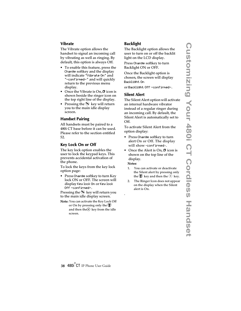#### <span id="page-43-0"></span>**Vibrate**

The Vibrate option allows the handset to signal an incoming call by vibrating as well as ringing. By default, this option is always Off.

- To enable this feature, press the Change softkey and the display will indicate "Vibrate On" and "-confirmed-" and will quickly return to the previous menu display.
- Once the Vibrate is On,  $\Box$  icon is shown beside the ringer icon on the top right line of the display.
- Pressing the  $\odot$  key will return you to the main idle display screen.

#### <span id="page-43-1"></span>**Handset Pairing**

All handsets must be paired to a 480i CT base before it can be used. Please refer to the section entitled [52.](#page-57-0)

#### <span id="page-43-2"></span>**Key Lock On or Off**

The key lock option enables the user to lock the keypad keys. This prevents accidental activation of the phone.

To lock the keys from the key lock option page:

• Press Change softkey to turn Key lock ON or OFF. The screen will display Key lock On or Key lock Off -confirmed-.

Pressing the  $\odot$  key will return you to the main idle display screen.

Note: You can activate the Key Lock Off or On by pressing only the  $\mathbb Q$ and then the $\bigcirc$  key from the idle screen.

#### <span id="page-43-3"></span>**Backlight**

The Backlight option allows the user to turn on or off the backlit light on the LCD display.

Press Change softkey to turn Backlight ON or OFF.

Once the Backlight option is chosen, the screen will display Backlight On

or Backlight Off -confirmed-.

#### <span id="page-43-4"></span>**Silent Alert**

The Silent Alert option will activate an internal hardware vibrator instead of a regular ringer during an incoming call. By default, the Silent Alert is automatically set to Off.

To activate Silent Alert from the option display:

- Press Change softkey to turn alert On or Off. The display will show -confirmed-.
- Once the Alert is On,  $\Box$  icon is shown on the top line of the display.

#### Notes:

.

- 1. You can activate or deactivate the Silent alert by pressing only the  $\Psi$  key and then the  $(\#)$  key.
- 2. The Ringer Icon does not appear on the display when the Silent alert is On.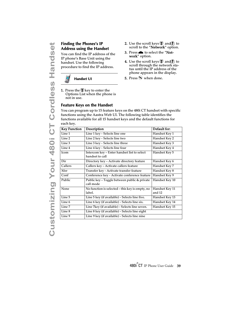# <span id="page-44-0"></span>**Address using the Handset**

#### **Handset UI**

#### <span id="page-44-1"></span>**Feature Keys on the Handset**

- **2.** Use the scroll keys  $\mathcal{F}$  and  $\mathcal{F}$  to scroll to the "**Network**" option.
- 3. Press **n** to select the "Network" option.
- **4.** Use the scroll keys  $\mathcal{F}$  and  $\mathcal{F}$  to scroll through the network status until the IP address of the phone appears in the display.
- **5.** Press  $\odot$  when done.

| <b>Address using the Handset</b><br>You can find the IP address of the<br>IP phone's Base Unit using the<br>handset. Use the following<br>procedure to find the IP address.<br><b>Handset UI</b> |                                                                                                                                                                                                                                  | scroll to the "Network" option.<br>3. Press to select the "Net-<br>work" option.<br><b>4.</b> Use the scroll keys $\mathbb{D}$ and $\mathbb{D}$ to<br>scroll through the network sta-<br>tus until the IP address of the<br>phone appears in the display.<br><b>5.</b> Press $\odot$ when done. |                                                    |
|--------------------------------------------------------------------------------------------------------------------------------------------------------------------------------------------------|----------------------------------------------------------------------------------------------------------------------------------------------------------------------------------------------------------------------------------|-------------------------------------------------------------------------------------------------------------------------------------------------------------------------------------------------------------------------------------------------------------------------------------------------|----------------------------------------------------|
| not in use.                                                                                                                                                                                      | <b>1.</b> Press the $\mathcal{V}$ key to enter the<br>Options List when the phone is<br><b>Feature Keys on the Handset</b>                                                                                                       |                                                                                                                                                                                                                                                                                                 |                                                    |
| each key.                                                                                                                                                                                        | You can program up to 15 feature keys on the 480i CT handset with specific<br>functions using the Aastra Web UI. The following table identifies the<br>functions available for all 15 handset keys and the default functions for |                                                                                                                                                                                                                                                                                                 |                                                    |
| <b>Key Function</b>                                                                                                                                                                              | Description                                                                                                                                                                                                                      |                                                                                                                                                                                                                                                                                                 | Default for:                                       |
| Line 1                                                                                                                                                                                           | Line 1 key - Selects line one                                                                                                                                                                                                    |                                                                                                                                                                                                                                                                                                 | Handset Key 1                                      |
|                                                                                                                                                                                                  |                                                                                                                                                                                                                                  |                                                                                                                                                                                                                                                                                                 |                                                    |
| Line 2                                                                                                                                                                                           |                                                                                                                                                                                                                                  |                                                                                                                                                                                                                                                                                                 | Handset Key 2                                      |
| Line 3                                                                                                                                                                                           | Line 2 key - Selects line two                                                                                                                                                                                                    |                                                                                                                                                                                                                                                                                                 | Handset Key 3                                      |
| Line 4                                                                                                                                                                                           | Line 3 key - Selects line three<br>Line 4 key - Selects line four                                                                                                                                                                |                                                                                                                                                                                                                                                                                                 |                                                    |
| Icom                                                                                                                                                                                             | Intercom key - Enter handset list to select<br>handset to call                                                                                                                                                                   |                                                                                                                                                                                                                                                                                                 | Handset Key 4<br>Handset Key 5                     |
| Dir                                                                                                                                                                                              | Directory key - Activate directory feature                                                                                                                                                                                       |                                                                                                                                                                                                                                                                                                 | Handset Key 6                                      |
| Callers                                                                                                                                                                                          | Callers key - Activate callers feature                                                                                                                                                                                           |                                                                                                                                                                                                                                                                                                 | Handset Key 7                                      |
| Xfer                                                                                                                                                                                             | Transfer key - Activate transfer feature                                                                                                                                                                                         |                                                                                                                                                                                                                                                                                                 |                                                    |
| Conf                                                                                                                                                                                             | Conference key - Activate conference feature                                                                                                                                                                                     |                                                                                                                                                                                                                                                                                                 |                                                    |
| Public                                                                                                                                                                                           | Public key - Toggle between public & private<br>call mode                                                                                                                                                                        |                                                                                                                                                                                                                                                                                                 | Handset Key 8<br>Handset Key 9<br>Handset Key 10   |
| None                                                                                                                                                                                             | No function is selected - this key is empty, no<br>label.                                                                                                                                                                        |                                                                                                                                                                                                                                                                                                 | Handset Key 11<br>and 12                           |
| Line 5                                                                                                                                                                                           | Line 5 key (if available) - Selects line five.                                                                                                                                                                                   |                                                                                                                                                                                                                                                                                                 |                                                    |
| Line 6                                                                                                                                                                                           | Line 6 key (if available) - Selects line six.                                                                                                                                                                                    |                                                                                                                                                                                                                                                                                                 |                                                    |
| Line 7                                                                                                                                                                                           | Line 7key (if available) - Selects line seven.                                                                                                                                                                                   |                                                                                                                                                                                                                                                                                                 | Handset Key 13<br>Handset Key 14<br>Handset Key 15 |
| Line 8                                                                                                                                                                                           | Line 8 key (if available) - Selects line eight                                                                                                                                                                                   |                                                                                                                                                                                                                                                                                                 |                                                    |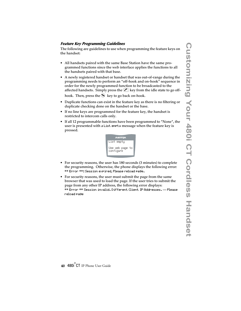#### **Feature Key Programming Guidelines**

The following are guidelines to use when programming the feature keys on the handset:

- All handsets paired with the same Base Station have the same programmed functions since the web interface applies the functions to all the handsets paired with that base.
- A newly registered handset or handset that was out-of-range during the programming needs to perform an "off-hook and on-hook" sequence in order for the newly programmed function to be broadcasted to the affected handsets. Simply press the  $\mathcal{C}$  key from the idle state to go off-

hook. Then, press the  $\bigotimes$  key to go back on-hook.

- Duplicate functions can exist in the feature key as there is no filtering or duplicate checking done on the handset or the base.
- If no line keys are programmed for the feature key, the handset is restricted to intercom calls only.
- If all 12 programmable functions have been programmed to "None", the user is presented with a List empty message when the feature key is pressed.



- For security reasons, the user has 180 seconds (3 minutes) to complete the programming. Otherwise, the phone displays the following error: \*\* Error \*\*: Session expired, Please reload page.
- For security reasons, the user must submit the page from the same browser that was used to load the page. If the user tries to submit the page from any other IP address, the following error displays: \*\* Error \*\* Session invalid. Different Client IP Addresses. — Please reload page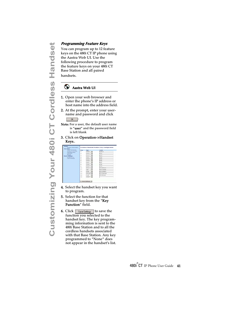#### **Aastra Web UI**

- 1. Open your web browser and enter the phone's IP address or host name into the address field.
- 2. At the prompt, enter your username and password and click .
- Note: For a user, the default user name is "user" and the password field is left blank
- 3. Click on Operation->Handset Keys..

| ₩                         | Programming Feature Keys                                        |                                                                  |                                                                     |  |  |  |
|---------------------------|-----------------------------------------------------------------|------------------------------------------------------------------|---------------------------------------------------------------------|--|--|--|
| $\bullet$                 |                                                                 |                                                                  | You can program up to 12 feature                                    |  |  |  |
| ands                      |                                                                 |                                                                  | keys on the 480i CT IP phone using                                  |  |  |  |
|                           | the Aastra Web UI. Use the                                      |                                                                  |                                                                     |  |  |  |
|                           | following procedure to program                                  |                                                                  |                                                                     |  |  |  |
|                           | the feature keys on your 480i CT                                |                                                                  |                                                                     |  |  |  |
|                           | Base Station and all paired                                     |                                                                  |                                                                     |  |  |  |
| Ĩ                         | handsets.                                                       |                                                                  |                                                                     |  |  |  |
| U)                        |                                                                 |                                                                  |                                                                     |  |  |  |
|                           | $\circ$                                                         | Aastra Web UI                                                    |                                                                     |  |  |  |
|                           |                                                                 |                                                                  |                                                                     |  |  |  |
|                           | 1. Open your web browser and                                    |                                                                  |                                                                     |  |  |  |
|                           |                                                                 |                                                                  | enter the phone's IP address or                                     |  |  |  |
|                           |                                                                 |                                                                  | host name into the address field                                    |  |  |  |
| Cordies                   |                                                                 |                                                                  | 2. At the prompt, enter your user-                                  |  |  |  |
|                           |                                                                 |                                                                  | name and password and click                                         |  |  |  |
|                           |                                                                 |                                                                  |                                                                     |  |  |  |
| $\overline{\overline{C}}$ |                                                                 |                                                                  | Note: For a user, the default user name                             |  |  |  |
|                           |                                                                 |                                                                  | is "user" and the password field                                    |  |  |  |
|                           | is left blank                                                   |                                                                  |                                                                     |  |  |  |
|                           |                                                                 |                                                                  | 3. Click on Operation->Handset                                      |  |  |  |
| <b>480i</b>               | Keys                                                            |                                                                  |                                                                     |  |  |  |
|                           |                                                                 |                                                                  | <b>Cordiess Handset Feature Key Configuration</b>                   |  |  |  |
|                           |                                                                 | $\overline{1}$<br>$\blacksquare$                                 |                                                                     |  |  |  |
|                           |                                                                 | W)<br>÷.<br>$\blacksquare$                                       |                                                                     |  |  |  |
|                           |                                                                 |                                                                  |                                                                     |  |  |  |
|                           |                                                                 | ÷.<br>×.<br>因                                                    |                                                                     |  |  |  |
|                           |                                                                 | w)                                                               | <b>TELAPH</b>                                                       |  |  |  |
| Your                      |                                                                 | <b>Distant</b><br>$\rightarrow$<br>×<br>$\overline{\phantom{a}}$ |                                                                     |  |  |  |
|                           |                                                                 | Laye Bettings                                                    |                                                                     |  |  |  |
|                           |                                                                 |                                                                  |                                                                     |  |  |  |
|                           |                                                                 |                                                                  | 4. Select the handset key you wan                                   |  |  |  |
|                           | to program.                                                     |                                                                  |                                                                     |  |  |  |
|                           | Select the function for that<br>5.<br>handset key from the "Key |                                                                  |                                                                     |  |  |  |
|                           | Function" field.                                                |                                                                  |                                                                     |  |  |  |
|                           |                                                                 |                                                                  |                                                                     |  |  |  |
| Customi                   | 6.                                                              | Click Save Settings to save the                                  |                                                                     |  |  |  |
|                           |                                                                 | function you selected to the                                     |                                                                     |  |  |  |
|                           |                                                                 |                                                                  | handset key. The key program-                                       |  |  |  |
|                           |                                                                 |                                                                  | ming information is sent to the<br>480i Base Station and to all the |  |  |  |
|                           |                                                                 | cordless handsets associated                                     |                                                                     |  |  |  |
|                           |                                                                 |                                                                  | with that Base Station. Anv kev                                     |  |  |  |

- 4. Select the handset key you want to program.
- 5. Select the function for that handset key from the "Key Function" field.
- **6.** Click  $\sqrt{\frac{2}{\text{Save Settings}}}$  to save the function you selected to the handset key. The key programming information is sent to the 480i Base Station and to all the cordless handsets associated with that Base Station. Any key programmed to "None" does not appear in the handset's list.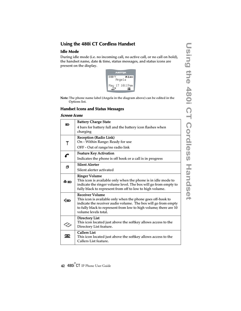## <span id="page-47-0"></span>**Using the 480i CT Cordless Handset**

#### <span id="page-47-1"></span>**Idle Mode**

During idle mode (i.e. no incoming call, no active call, or no call on hold), the handset name, date & time, status messages, and status icons are present on the display.



Note: The phone name label (Angela in the diagram above) can be edited in the Options list.

#### <span id="page-47-2"></span>**Handset Icons and Status Messages**

#### <span id="page-47-3"></span>**Screen Icons**

<span id="page-47-8"></span><span id="page-47-7"></span><span id="page-47-6"></span><span id="page-47-5"></span><span id="page-47-4"></span>

| m                             | <b>Battery Charge State</b>                                                               |
|-------------------------------|-------------------------------------------------------------------------------------------|
|                               | 4 bars for battery full and the battery icon flashes when                                 |
|                               | charging                                                                                  |
|                               | Reception (Radio Link)                                                                    |
| T                             | On - Within Range: Ready for use                                                          |
|                               | OFF - Out of range/no radio link                                                          |
| $\mathfrak{g}^{\mathfrak{m}}$ | <b>Feature Key Activation</b>                                                             |
|                               | Indicates the phone is off hook or a call is in progress                                  |
| a                             | <b>Silent Alerter</b>                                                                     |
|                               | Silent alerter activated                                                                  |
|                               | <b>Ringer Volume</b>                                                                      |
| 4.m                           | This icon is available only when the phone is in idle mode to                             |
|                               | indicate the ringer volume level. The box will go from empty to                           |
|                               | fully black to represent from off to low to high volume.                                  |
|                               | <b>Receiver Volume</b>                                                                    |
| Ńш                            | This icon is available only when the phone goes off-hook to                               |
|                               | indicate the receiver audio volume. The box will go from empty                            |
|                               | to fully black to represent from low to high volume; there are 10<br>volume levels total. |
|                               |                                                                                           |
|                               | <b>Directory List</b>                                                                     |
|                               | This icon located just above the softkey allows access to the                             |
|                               | Directory List feature.                                                                   |
|                               | <b>Callers List</b>                                                                       |
|                               | This icon located just above the softkey allows access to the<br>Callers List feature.    |
|                               |                                                                                           |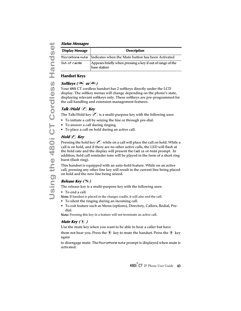| <b>Display Message</b> | <b>Description</b>                                                         |
|------------------------|----------------------------------------------------------------------------|
|                        | Microphone mute   Indicates when the Mute button has been Activated        |
| Out of range           | Appears briefly when pressing a key if out of range of the<br>base station |

#### <span id="page-48-0"></span>**Handset Keys**

#### *Softkeys* ( $\bigcirc$  or  $\bigcirc$ )

Your 480i CT cordless handset has 2 softkeys directly under the LCD display. The softkey menus will change depending on the phone's state, displaying relevant softkeys only. These softkeys are pre-programmed for the call handling and extension management features.

## **Talk /Hold** *C* Key

The Talk/Hold key  $\langle \cdot \rangle$  is a multi-purpose key with the following uses:

- To initiate a call by seizing the line or through pre-dial.
- To answer a call during ringing.
- To place a call on hold during an active call.

## **Hold C** Key

Pressing the hold key  $\lfloor \cdot \rfloor$  while on a call will place the call on hold. While a call is on hold, and if there are no other active calls, the LED will flash at the hold rate and the display will present the Call is on hold prompt. In addition, held call reminder tone will be played in the form of a short ring burst (flash ring).

This handset is equipped with an auto-hold feature. While on an active call, pressing any other line key will result in the current line being placed on hold and the new line being seized.

## **Release Key (** y**)**

The release key is a multi-purpose key with the following uses:

• To end a call.

Note: If handset is placed in the charger cradle, it will also end the call.

- To silent the ringing during an incoming call.
- To exit feature such as Menu (options), Directory, Callers, Redial, Predial.

Note: Pressing this key in a feature will not terminate an active call.

## **Mute Key (** æ **)**

Use the mute key when you want to be able to hear a caller but have

them not hear you. Press theækey to mute the handset. Press theækey again

to disengage mute. The Microphone mute prompt is displayed when mute is activated.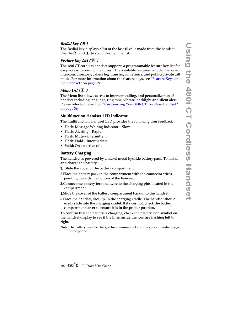#### **Redial Key (** ß**)**

The Redial key displays a list of the last 10 calls made from the handset. Use the  $\left(\frac{\bullet}{\mathbf{F}}\right)$  and  $\left(\frac{\bullet}{\mathbf{F}}\right)$  to scroll through the list.

#### **Feature Key List (** Ï **)**

The 480i CT cordless handset supports a programmable feature key list for easy access to common features. The available features include line keys, intercom, directory, callers log, transfer, conference, and public/private call mode. For more information about the feature keys, see "Feature Keys on [the Handset"](#page-44-1) on [page 39](#page-44-1).

#### *Menu List* ( $\mathbb{V}$ )

The Menu list allows access to intercom calling, and personalization of handset including language, ring tone, vibrate, backlight and silent alert. Please refer to the section ["Customizing Your 480i CT Cordless Handset"](#page-41-0) on [page 36](#page-41-0).

#### <span id="page-49-0"></span>**Multifunction Handset LED Indicator**

The multifunction Handset LED provides the following user feedback:

- Flash: Message Waiting Indicator Slow
- Flash: Alerting Rapid
- Flash: Mute intermittent
- Flash: Hold Intermediate
- Solid: On an active call

#### <span id="page-49-1"></span>**Battery Charging**

The handset is powered by a nickel metal hydride battery pack. To install and charge the battery:

- 1. Slide the cover of the battery compartment.
- 2.Place the battery pack in the compartment with the connector wires pointing towards the bottom of the handset.
- 3.Connect the battery terminal wire to the charging pins located in the compartment
- 4.Slide the cover of the battery compartment back onto the handset
- 5.Place the handset, face up, in the charging cradle. The handset should easily slide into the charging cradel. If it does not, check the battery compartment cover to ensure it is in the proper position.

To confirm that the battery is charging, check the battery icon symbol on the handset display to see if the lines inside the icon are flashing left to right.

Note: The battery must be charged for a minimum of six hours prior to initial usage of the phone.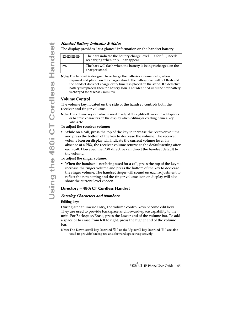The display provides "at a glance" information on the handset battery.

| <b>CHORH</b> | The bars indicate the battery charge level $-4$ for full, needs<br>recharging when only 1 bar appear |
|--------------|------------------------------------------------------------------------------------------------------|
| œ            | The bars will flash when the battery is being recharged on the<br>charger stand.                     |

Note: The handset is designed to recharge the batteries automatically, when required and placed on the charger stand. The battery icon will not flash and the handset does not charge every time it is placed on the stand. If a defective battery is replaced, then the battery Icon is not identified until the new battery is charged for at least 2 minutes.

#### <span id="page-50-0"></span>**Volume Control**

The volume key, located on the side of the handset, controls both the receiver and ringer volume.

Note: The volume key can also be used to adjust the right/left cursor to add spaces or to erase characters on the display when editing or creating names, key labels etc.

#### To adjust the receiver volume:

**Using the Using The Using the 1917** The bars indicate the big cordinate the Different Cordless Handset is designed to recharge<br>
The bars will flash when only 1<br>
The bars will flash when only 1<br>
The bars will flash when<br> • While on a call, press the top of the key to increase the receiver volume and press the bottom of the key to decrease the volume. The receiver volume icon on display will indicate the current volume level. In absence of a PBX, the receiver volume returns to the default setting after each call. However, the PBX directive can direct the handset default to the volume.

#### To adjust the ringer volume:

• When the handset is not being used for a call, press the top of the key to increase the ringer volume and press the bottom of the key to decrease the ringer volume. The handset ringer will sound on each adjustment to reflect the new setting and the ringer volume icon on display will also show the current level chosen.

#### <span id="page-50-1"></span>**Directory – 480i CT Cordless Handset**

#### <span id="page-50-2"></span>**Entering Characters and Numbers Editing keys**

During alphanumeric entry, the volume control keys become edit keys. They are used to provide backspace and forward-space capability to the unit. For Backspace/Erase, press the Lower end of the volume bar. To add a space or to erase from left to right, press the higher end of the volume bar.

**Note:** The Down scroll key (marked  $\Psi$ ) or the Up scroll key (marked  $\Pi$ ) are also used to provide backspace and forward space respectively.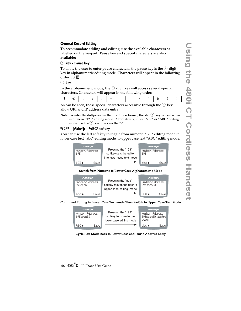#### **General Record Editing**

To accommodate adding and editing, use the available characters as labelled on the keypad. Pause key and special characters are also available:

#### 0 **key / Pause key**

To allow the user to enter pause characters, the pause key is the  $\circledcirc$  digit key in alphanumeric editing mode. Characters will appear in the following order: :  $0, \blacksquare$ .

#### 1 **key**

In the alphanumeric mode, the  $\odot$  digit key will access several special characters. Characters will appear in the following order:

As can be seen, these special characters accessible through the  $\bigcirc$  key allow URI and IP address data entry.

**Note:** To enter the dot/period in the IP address format, the star  $(*)$  key is used when in numeric "123" editing mode. Alternatively, in text "abc" or "ABC" editing mode, use the  $(1)$  key to access the ".".

#### **"123" —þ"abc"þ—"ABC" softkey**

You can use the left soft key to toggle from numeric "123" editing mode to lower case text "abc" editing mode, to upper case text "ABC" editing mode.



Continued Editing in Lower Case Text mode Then Switch to Upper Case Text Mode

| <b>A/STRA</b><br>Number/Address<br>693seamG@ | Pressing the "123"<br>softkey to move to the<br>lower case editing mode | <b>A/ASTRA</b><br>Number/Address<br>693seamG@ aastra<br>- COM |
|----------------------------------------------|-------------------------------------------------------------------------|---------------------------------------------------------------|
| ABC<br>Save                                  |                                                                         | abc ▶<br>Save                                                 |

Cycle Edit Mode Back to Lower Case and Finish Address Entry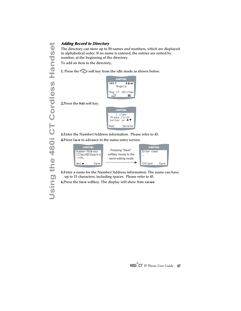The directory can store up to 50 names and numbers, which are displayed in alphabetical order. If no name is entered, the entries are sorted by number, at the beginning of the directory.

To add an item to the directory,

1. Press the  $\gg$  soft key from the idle mode as shown below.



2.Press the Add soft key.

|     | <b>A/STRA</b>                         |
|-----|---------------------------------------|
|     | 1 item<br>Press first<br>letter or ▲▼ |
| Add | Nelete                                |

3.Enter the Number/Address information. Please refer to [45](#page-50-2). 4.Press Save to advance to the name entry screen.



5.Enter a name for the Number/Address information. The name can have up to 15 characters, including spaces. Please refer to [45.](#page-50-2)

6.Press the Save softkey. The display will show Item saved.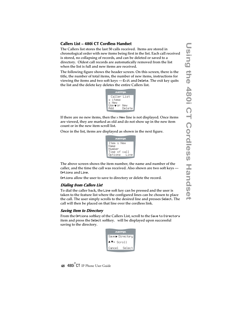#### <span id="page-53-0"></span>**Callers List – 480i CT Cordless Handset**

The Callers list stores the last 50 calls received. Items are stored in chronological order with new items being first in the list. Each call received is stored, no collapsing of records, and can be deleted or saved to a directory. Oldest call records are automatically removed from the list when the list is full and new items are received.

The following figure shows the header screen. On this screen, there is the title, the number of total items, the number of new items, instructions for viewing the items and two soft keys  $-$  Exit and Delete. The exit key quits the list and the delete key deletes the entire Callers list.



If there are no new items, then the  $\times$  New line is not displayed. Once items are viewed, they are marked as old and do not show up in the new item count or in the new item scroll list.

Once in the list, items are displayed as shown in the next figure.

|                | <b>AASTRA</b> |
|----------------|---------------|
|                | Item x New    |
| Name<br>Numher |               |
|                | Time of call  |
| Options        | l ine         |

The above screen shows the item number, the name and number of the caller, and the time the call was received. Also shown are two soft keys — Options and Line.

Options allow the user to save to directory or delete the record.

#### **Dialing from Callers List**

To dial the caller back, the Line soft key can be pressed and the user is taken to the feature list where the configured lines can be chosen to place the call. The user simply scrolls to the desired line and presses Select. The call will then be placed on that line over the cordless link.

#### **Saving Item to Directory**

From the Options softkey of the Callers List, scroll to the Save to Directory item and press the Select softkey. will be displayed upon successful saving to the directory.

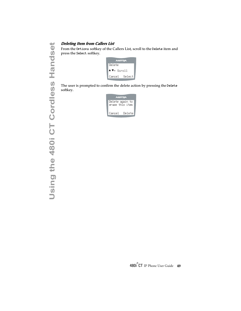From the Ortions softkey of the Callers List, scroll to the Delete item and press the Select softkey.



The user is prompted to confirm the delete action by pressing the Delete softkey.

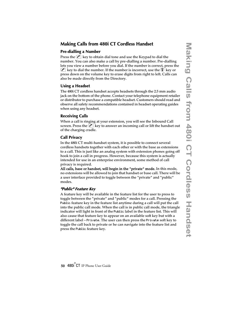#### <span id="page-55-0"></span>**Making Calls from 480i CT Cordless Handset**

#### <span id="page-55-1"></span>**Pre-dialling a Number**

Press the  $\lfloor \cdot \rfloor$  key to obtain dial tone and use the Keypad to dial the number. You can also make a call by pre-dialling a number. Pre-dialling lets you view a number before you dial. If the number is correct, press the  $\mathcal{L}$  key to dial the number. If the number is incorrect, use the  $\mathcal{V}$  key or press down on the volume key to erase digits from right to left. Calls can also be made directly from the Directory.

#### <span id="page-55-2"></span>**Using a Headset**

The 480i CT cordless handset accepts headsets through the 2.5 mm audio jack on the bottom of the phone. Contact your telephone equipment retailer or distributor to purchase a compatible headset. Customers should read and observe all safety recommendations contained in headset operating guides when using any headset.

#### <span id="page-55-3"></span>**Receiving Calls**

When a call is ringing at your extension, you will see the Inbound Call screen. Press the  $\langle \cdot \rangle$  key to answer an incoming call or lift the handset out of the charging cradle.

#### <span id="page-55-4"></span>**Call Privacy**

In the 480i CT multi-handset system, it is possible to connect several cordless handsets together with each other or with the base as extensions to a call. This is just like an analog system with extension phones going off hook to join a call in progress. However, because this system is actually intended for use in an enterprise environment, some method of call privacy is required.

All calls, base or handset, will begin in the "private" mode. In this mode, no extensions will be allowed to join that handset or base call. There will be a user interface provided to toggle between the "private" and "public" modes.

#### **"Public" Feature Key**

A feature key will be available in the feature list for the user to press to toggle between the "private" and "public" modes for a call. Pressing the Public feature key in the feature list anytime during a call will put the call into the public call mode. When the call is in public call mode, the triangle indicator will light in front of the Public label in the feature list. This will also cause that feature key to appear on an available soft key but with a different label – Private. The user can then press the Private soft key to toggle the call back to private or he can navigate into the feature list and press the Public feature key.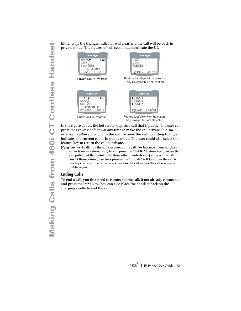private mode. The figures of this section demonstrate the UI.



Key Invoked but not Selected

In the figure above, the left screen depicts a call that is public. The user can press the Private soft key at any time to make the call private – i.e. no extensions allowed to join. In the right screen, the right pointing triangle indicates the current call is in public mode. The user could also select this feature key to return the call to private.

Note: Any local caller on the call can convert the call. For instance, if one cordless caller is on an external call, he can press the "Public" feature key to make the call public. At that point up to three other handsets can join in on the call. If any of those joining handsets presses the "Private" soft key, then the call is made private and no other users can join the call unless the call was made public again.

#### <span id="page-56-0"></span>**Ending Calls**

To end a call, you first need to connect to the call, if not already connected, and press the  $\blacksquare$  key. You can also place the handset back on the charging cradle to end the call.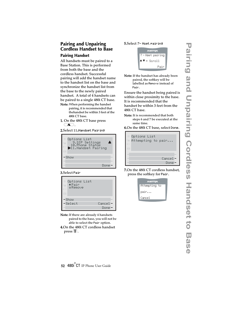#### 5.Select 7- Hset pairing

#### <span id="page-57-0"></span>**Pairing and Unpairing Cordless Handset to Base Pairing Handset**

<span id="page-57-1"></span>All handsets must be paired to a Base Station. This is performed from both the base and the cordless handset. Successful pairing will add the handset name to the handset list on the base and synchronize the handset list from the base to the newly paired handset. A total of 4 handsets can be paired to a single 480i CT base.

- Note: When performing the handset pairing, it is recommended that thehandset be within 3 feet of the 480i CT base.
- 1. On the 480i CT base press  $\subset \blacktriangle$  ).

2.Select 11.Handset Pairing



#### 3.Select Pair



- Note: If there are already 4 handsets paired to the base, you will not be able to select the Pair option.
- 4.On the 480i CT cordless handset  $pres(\overline{\mathbf{\Psi}})$ .

**AASTRA** 7 - Hset pairing  $\blacktriangle \blacktriangledown = \text{Scroll}$ Pair

Note: If the handset has already been paired, the softkey will be labelled as Remove instead of Pair.

Ensure the handset being paired is within close proximity to the base. It is recommended that the handset be within 3 feet from the 480i CT base.

Note: It is recommended that both steps 6 and 7 be executed at the same time.

6.On the 480i CT base, select Done.



7.On the 480i CT cordless handset, press the softkey for Pair.

| <b>AASTRA</b> |  |
|---------------|--|
| Attempting to |  |
| pair          |  |
| Cancel        |  |

**Pairing and Unpairing Cordless Handset to Base** ring and Unpairing Cordless Handset to <u>ပ</u>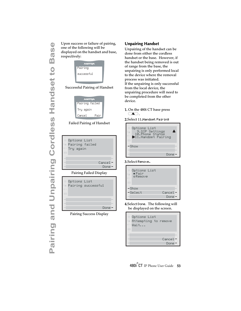one of the following will be displayed on the handset and base, respectively:

| <b>AASTRA</b> |  |
|---------------|--|
| Pairing       |  |
| arrestul      |  |
|               |  |

#### Successful Pairing of Handset



Failed Pairing of Handset



Pairing Success Display Done

#### <span id="page-58-0"></span>**Unpairing Handset**

Unpairing of the handset can be done from either the cordless handset or the base. However, if the handset being removed is out of range from the base, the unpairing is only performed local to the device where the removal process was initiated. If the unpairing is only successful from the local device, the unpairing procedure will need to be completed from the other device.

#### 1. On the 480i CT base press  $\subset$   $\blacktriangle$  ).





#### 3.Select Remove.

| 瓣。<br>Options List<br>$\bullet$ Pair<br>$\odot$<br>ORAMOUA<br>>14 |         |
|-------------------------------------------------------------------|---------|
| –Show                                                             |         |
| -Select                                                           | Cancel- |
|                                                                   | Done:   |

#### 4.Select Done. The following will be displayed on the screen.

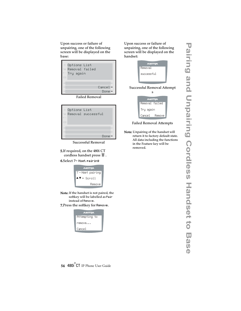Upon success or failure of unpairing, one of the following screen will be displayed on the base:



Failed Removal



Successful Removal

- 5.If required, on the 480i CT cordless handset press  $\P$ .
- 6.Select 7- Hset pairing



- Note: If the handset is not paired, the softkey will be labelled as Pair instead of Remove.
- 7.Press the softkey for Remove.



Upon success or failure of unpairing, one of the following screen will be displayed on the handset:

| <b>AASTRA</b> |
|---------------|
| Remoual       |
| successful    |
|               |

#### Successful Removal Attempt



#### Failed Removal Attempts

Note: Unpairing of the handset will return it to factory default state. All data including the functions in the Feature key will be removed.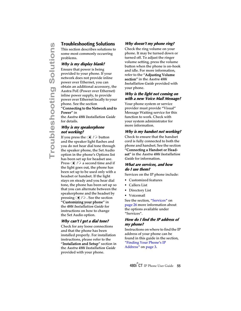<span id="page-60-0"></span>This section describes solutions to some most commonly occurring problems.

#### <span id="page-60-7"></span>**Why is my display blank?**

**Troubleshooting Solutions**<br>
This section describes solutions to<br>
some most commonly occurring<br>
problems.<br> **Why is my display blank?**<br>
Ensure that power is being<br>
provided to your phone. If your<br>
network does not provide i Ensure that power is being provided to your phone. If your network does not provide inline power over Ethernet, you can obtain an additional accessory, the Aastra PoE (Power over Ethernet) inline power supply, to provide power over Ethernet locally to your phone. See the section

#### "Connecting to the Network and to Power" in

the *Aastra 480i Installation Guide* for details.

#### <span id="page-60-9"></span>**Why is my speakerphone not working?**

If you press the  $\bigcirc$  / $\bigcirc$  button and the speaker light flashes and you do not hear dial tone through the speaker phone, the Set Audio option in the phone's Options list has been set up for headset use. Press  $\bigoplus$  / $\bigoplus$  a second time and if the light goes out, the phone has been set up to be used only with a headset or handset. If the light stays on steady and you hear dial tone, the phone has been set up so that you can alternate between the speakerphone and the headset by pressing  $\Box$  /  $\Box$  . See the section "Customizing your phone" in the *480i Installation Guide* for instructions on how to change the Set Audio option.

#### <span id="page-60-5"></span>**Why can't I get a dial tone?**

Check for any loose connections and that the phone has been installed properly. For installation instructions, please refer to the "Installation and Setup" section in the *Aastra 480i Installation Guide* provided with your phone.

#### <span id="page-60-6"></span><span id="page-60-2"></span>**Why doesn't my phone ring?**

Check the ring volume on your phone. It may be turned down or turned off. To adjust the ringer volume setting, press the volume button when the phone is on-hook and idle. For more information, refer to the "Adjusting Volume section" in the *Aastra 480i Installation Guide* provided with your phone.

#### <span id="page-60-10"></span>**Why is the light not coming on with a new Voice Mail Message?**

Your phone system or service provider must provide "Visual" Message Waiting service for this function to work. Check with your system administrator for more information.

#### <span id="page-60-8"></span>**Why is my handset not working?**

Check to ensure that the handset cord is fully connected to both the phone and handset. See the section "Connecting a Handset or Headset" in the *Aastra 480i Installation Guide* for information.

#### <span id="page-60-4"></span>**What are services, and how do I use them?**

Services on the IP phone include:

- Customized features
- Callers List
- Directory List
- Voicemail

See the section, ["Services"](#page-31-2) on [page 26](#page-31-2) more information about the options available under "Services".

#### <span id="page-60-3"></span>**How do I find the IP address of my phone?**

<span id="page-60-1"></span>Instructions on where to find the IP address of your phone can be found in this guide in the section, ["Finding Your Phone's IP](#page-8-3)  [Address"](#page-8-3) on [page 3](#page-8-3).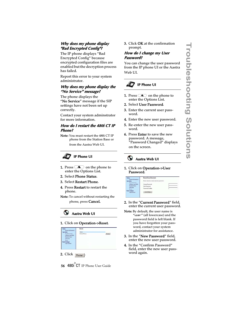#### <span id="page-61-6"></span>**Why does my phone display "Bad Encrypted Config"?**

<span id="page-61-0"></span>The IP phone displays "Bad Encrypted Config" because encrypted configuration files are enabled but the decryption process has failed.

Report this error to your system administrator.

#### **Why does my phone display the "No Service" message?**

<span id="page-61-1"></span>The phone displays the "No Service" message if the SIP settings have not been set up correctly.

Contact your system adminstrator for more information.

#### <span id="page-61-5"></span>**How do I restart the 480i CT IP Phone?**

<span id="page-61-3"></span>Note: You must restart the 480i CT IP phone from the Station Base or from the Aastra Web UI.



- **1.** Press  $\Delta$  on the phone to enter the Options List.
- 2. Select Phone Status.
- 3. Select Restart Phone.
- 4. Press Restart to restart the phone.
- Note: To cancel without restarting the phone, press **Cancel.** 
	- **Aastra Web UI**

#### 1. Click on Operation->Reset.

| <b>States</b><br><b>System Information</b>                                                                              | Reset                                      |  |
|-------------------------------------------------------------------------------------------------------------------------|--------------------------------------------|--|
| <b>Operation</b>                                                                                                        | Phone:                                     |  |
| UserPassword<br>Boffleys and XML<br>Hundard Keys<br>Directory.<br><b>Report</b><br><b>Basic Settings</b><br>Cut Forward | <b>Firstert Phone</b><br><b>CONTRACTOR</b> |  |

2.  $Click$   $Result$ .

3. Click OK at the confirmation prompt.

#### <span id="page-61-4"></span>**How do I change my User Password?**

<span id="page-61-2"></span>You can change the user password from the IP phone UI or the Aastra Web UI.

## **IP Phone UI**

- <span id="page-61-7"></span>**1.** Press  $\infty$  on the phone to enter the Options List.
- 2. Select User Password.
- 3. Enter the current user password.
- 4. Enter the new user password.
- 5. Re-enter the new user password.
- 6. Press Enter to save the new password. A message, "Password Changed" displays on the screen.



#### 1. Click on Operation->User Password.



- 2. In the "Current Password" field, enter the current user password.
- Note: By default, the user name is "user" (all lowercase) and the password field is left blank. If you have forgotten your password, contact your system administrator for assistance.
- 3. In the "New Password" field, enter the new user password.
- 4. In the "Confirm Password" field, enter the new user password again.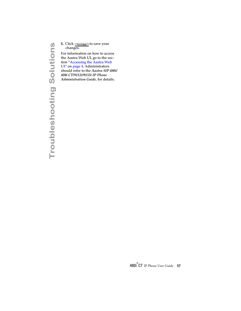changes.

5. Click **Esseconing** to save your<br>changes.<br>
For information on how to acc<br>
the Aastra Web UI, go to the s<br>
tion "Accessing the Aastra We<br>
UI" on page 4. Administrators<br>
should refer to the *Aastra SIP*<br>
480*i* CT/9112*i*/ For information on how to access the Aastra Web UI, go to the section ["Accessing the Aastra Web](#page-9-0)  [UI"](#page-9-0) on [page 4](#page-9-0). Administrators should refer to the *Aastra SIP 480i/ 480i CT/9112i/9133i IP Phone Administration Guide*. for details.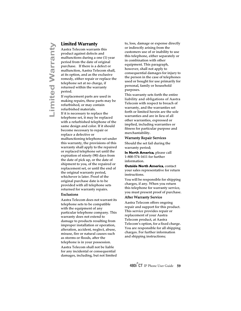<span id="page-64-2"></span><span id="page-64-1"></span><span id="page-64-0"></span>**Limited Warranty**<br>
Aastra Telecom warran<br>
product against defects<br>
malfunctions during a c<br>
period from the date of<br>
purchase. If there is a  $\alpha$ <br>
malfunction, Aastra Tel<br>
at its option, and as the<br>
remedy, either repair Aastra Telecom warrants this product against defects and malfunctions during a one (1) year period from the date of original purchase. If there is a defect or malfunction, Aastra Telecom shall, at its option, and as the exclusive remedy, either repair or replace the telephone set at no charge, if returned within the warranty period.

If replacement parts are used in making repairs, these parts may be refurbished, or may contain refurbished materials. If it is necessary to replace the telephone set, it may be replaced with a refurbished telephone of the same design and color. If it should become necessary to repair or replace a defective or malfunctioning telephone set under this warranty, the provisions of this warranty shall apply to the repaired or replaced telephone set until the expiration of ninety (90) days from the date of pick up, or the date of shipment to you, of the repaired or replacement set, or until the end of the original warranty period, whichever is later. Proof of the original purchase date is to be provided with all telephone sets returned for warranty repairs.

#### Exclusions

Aastra Telecom does not warrant its telephone sets to be compatible with the equipment of any particular telephone company. This warranty does not extend to damage to products resulting from improper installation or operation, alteration, accident, neglect, abuse, misuse, fire or natural causes such as storms or floods, after the telephone is in your possession. Aastra Telecom shall not be liable for any incidental or consequential damages, including, but not limited to, loss, damage or expense directly or indirectly arising from the customers use of or inability to use this telephone, either separately or in combination with other equipment. This paragraph, however, shall not apply to consequential damages for injury to the person in the case of telephones used or bought for use primarily for personal, family or household purposes.

This warranty sets forth the entire liability and obligations of Aastra Telecom with respect to breach of warranty, and the warranties set forth or limited herein are the sole warranties and are in lieu of all other warranties, expressed or implied, including warranties or fitness for particular purpose and merchantability.

#### Warranty Repair Services

Should the set fail during the warranty period;

**In North America**, please call 1-800-574-1611 for further information.

**Outside North America**, contact your sales representative for return instructions.

You will be responsible for shipping charges, if any. When you return this telephone for warranty service, you must present proof of purchase.

#### After Warranty Service

Aastra Telecom offers ongoing repair and support for this product. This service provides repair or replacement of your Aastra Telecom product, at Aastra Telecom's option, for a fixed charge. You are responsible for all shipping charges. For further information and shipping instructions;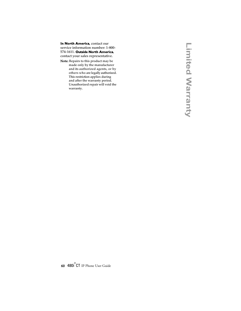**In North America**, contact our service information number: 1-800- 574-1611. **Outside North America**, contact your sales representative.

Note: Repairs to this product may be made only by the manufacturer and its authorized agents, or by others who are legally authorized. This restriction applies during and after the warranty period. Unauthorized repair will void the warranty.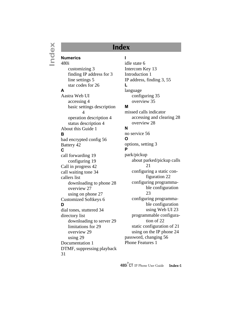## **Index**

**Numerics** 480i [customizing 3](#page-8-4) [finding IP address for 3](#page-8-5) [line settings 5](#page-10-3) [star codes for 26](#page-31-3) **A** Aastra Web UI [accessing 4](#page-9-1) [basic settings description](#page-9-2)  4 [operation description 4](#page-9-3) [status description 4](#page-9-4) [About this Guide 1](#page-6-2) **B** [bad encrypted config 56](#page-61-0) [Battery 42](#page-47-3) **C** [call forwarding 19](#page-24-2) [configuring 19](#page-24-3) [Call in progress 42](#page-47-4) [call waiting tone 34](#page-39-2) callers list [downloading to phone 28](#page-33-0) [overview 27](#page-32-0) [using on phone 27](#page-32-1) [Customized Softkeys 6](#page-11-3) **D** [dial tones, stuttered 34](#page-39-3) directory list [downloading to server 29](#page-34-0) [limitations for 29](#page-34-1) [overview 29](#page-34-2) [using 29](#page-34-3) [Documentation 1](#page-6-2) [DTMF, suppressing playback](#page-36-1)  31

#### **I**

[idle state 6](#page-11-4) [Intercom Key 13](#page-18-2) [Introduction 1](#page-6-3) [IP address, finding 3,](#page-8-6) [55](#page-60-1) **L** language [configuring 35](#page-40-2) [overview 35](#page-40-3) **M**

missed calls indicator [accessing and clearing 28](#page-33-1) [overview 28](#page-33-2)

#### **N**

[no service 56](#page-61-1) **O** [options, setting 3](#page-8-7) **P** park/pickup [about parked/pickup calls](#page-26-1)  21 [configuring a static con](#page-27-0)figuration 22 [configuring programma](#page-28-0)ble configuration 23 [configuring programma](#page-28-1)ble configuration using Web UI 23 [programmable configura](#page-27-1)tion of 22 [static configuration of 21](#page-26-2) [using on the IP phone 24](#page-29-0) [password, changing 56](#page-61-2) [Phone Features 1](#page-7-3)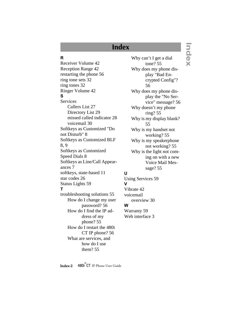# **Index**

## **R**

[Receiver Volume 42](#page-47-5) [Reception Range 42](#page-47-6) [restarting the phone 56](#page-61-3) [ring tone sets 32](#page-37-2) [ring tones 32](#page-37-3) [Ringer Volume 42](#page-47-7) **S Services** [Callers List 27](#page-32-2) [Directory List 29](#page-34-4) [missed called indicator 28](#page-33-3) [voicemail 30](#page-35-0) [Softkeys as Customized "Do](#page-13-0)  not Disturb" 8 [Softkeys as Customized BLF](#page-13-1)  [8,](#page-13-1) [9](#page-14-1) [Softkeys as Customized](#page-13-2)  Speed Dials 8 [Softkeys as Line/Call Appear](#page-12-1)ances 7 [softkeys, state-based 11](#page-16-1) [star codes 26](#page-31-4) [Status Lights 59](#page-64-1) **T** [troubleshooting solutions 55](#page-60-2) [How do I change my user](#page-61-4)  password? 56 [How do I find the IP ad](#page-60-3)dress of my phone? 55 [How do I restart the 480i](#page-61-5)  CT IP phone? 56 [What are services, and](#page-60-4)  how do I use them? 55

[Why can't I get a dial](#page-60-5)  tone? 55 [Why does my phone dis](#page-61-6)play "Bad Encrypted Config"? 56 [Why does my phone dis](#page-61-7)play the "No Service" message? 56 [Why doesn't my phone](#page-60-6)  ring? 55 [Why is my display blank?](#page-60-7)  55 [Why is my handset not](#page-60-8)  working? 55 [Why is my speakerphone](#page-60-9)  not working? 55 [Why is the light not com](#page-60-10)ing on with a new Voice Mail Message? 55

#### **U**

[Using Services 59](#page-64-1) **V** [Vibrate 42](#page-47-8) voicemail [overview 30](#page-35-1) **W** [Warranty 59](#page-64-2) [Web interface 3](#page-8-8)